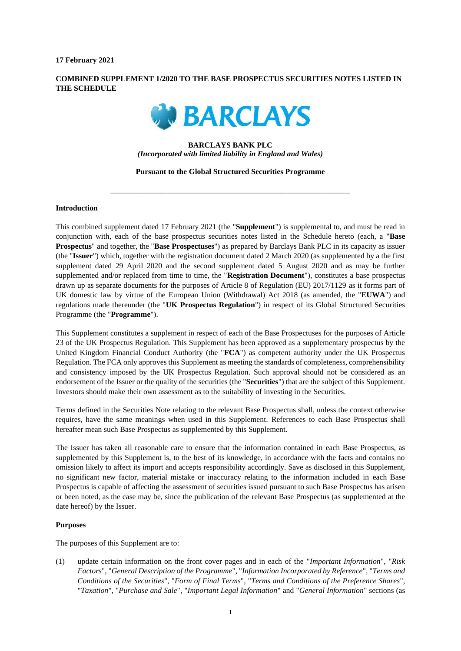**17 February 2021**

# **COMBINED SUPPLEMENT 1/2020 TO THE BASE PROSPECTUS SECURITIES NOTES LISTED IN THE SCHEDULE**



# **BARCLAYS BANK PLC** *(Incorporated with limited liability in England and Wales)*

#### **Pursuant to the Global Structured Securities Programme**

\_\_\_\_\_\_\_\_\_\_\_\_\_\_\_\_\_\_\_\_\_\_\_\_\_\_\_\_\_\_\_\_\_\_\_\_\_\_\_\_\_\_\_\_\_\_\_\_\_\_\_\_\_\_\_\_\_\_\_\_\_\_

## **Introduction**

This combined supplement dated 17 February 2021 (the "**Supplement**") is supplemental to, and must be read in conjunction with, each of the base prospectus securities notes listed in the Schedule hereto (each, a "**Base Prospectus**" and together, the "**Base Prospectuses**") as prepared by Barclays Bank PLC in its capacity as issuer (the "**Issuer**") which, together with the registration document dated 2 March 2020 (as supplemented by a the first supplement dated 29 April 2020 and the second supplement dated 5 August 2020 and as may be further supplemented and/or replaced from time to time, the "**Registration Document**"), constitutes a base prospectus drawn up as separate documents for the purposes of Article 8 of Regulation (EU) 2017/1129 as it forms part of UK domestic law by virtue of the European Union (Withdrawal) Act 2018 (as amended, the "**EUWA**") and regulations made thereunder (the "**UK Prospectus Regulation**") in respect of its Global Structured Securities Programme (the "**Programme**").

This Supplement constitutes a supplement in respect of each of the Base Prospectuses for the purposes of Article 23 of the UK Prospectus Regulation. This Supplement has been approved as a supplementary prospectus by the United Kingdom Financial Conduct Authority (the "**FCA**") as competent authority under the UK Prospectus Regulation. The FCA only approves this Supplement as meeting the standards of completeness, comprehensibility and consistency imposed by the UK Prospectus Regulation. Such approval should not be considered as an endorsement of the Issuer or the quality of the securities (the "**Securities**") that are the subject of this Supplement. Investors should make their own assessment as to the suitability of investing in the Securities.

Terms defined in the Securities Note relating to the relevant Base Prospectus shall, unless the context otherwise requires, have the same meanings when used in this Supplement. References to each Base Prospectus shall hereafter mean such Base Prospectus as supplemented by this Supplement.

The Issuer has taken all reasonable care to ensure that the information contained in each Base Prospectus, as supplemented by this Supplement is, to the best of its knowledge, in accordance with the facts and contains no omission likely to affect its import and accepts responsibility accordingly. Save as disclosed in this Supplement, no significant new factor, material mistake or inaccuracy relating to the information included in each Base Prospectus is capable of affecting the assessment of securities issued pursuant to such Base Prospectus has arisen or been noted, as the case may be, since the publication of the relevant Base Prospectus (as supplemented at the date hereof) by the Issuer.

## **Purposes**

The purposes of this Supplement are to:

(1) update certain information on the front cover pages and in each of the "*Important Information*", "*Risk Factors*", "*General Description of the Programme*", "*Information Incorporated by Reference*", "*Terms and Conditions of the Securities*", "*Form of Final Terms*", "*Terms and Conditions of the Preference Shares*", "*Taxation*", "*Purchase and Sale*", "*Important Legal Information*" and "*General Information*" sections (as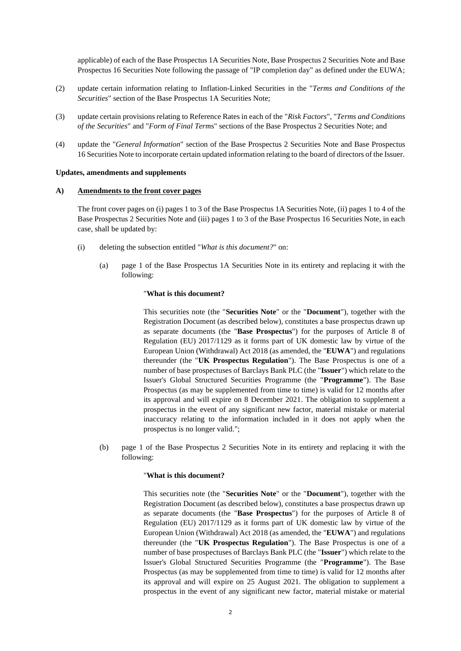applicable) of each of the Base Prospectus 1A Securities Note, Base Prospectus 2 Securities Note and Base Prospectus 16 Securities Note following the passage of "IP completion day" as defined under the EUWA;

- (2) update certain information relating to Inflation-Linked Securities in the "*Terms and Conditions of the Securities*" section of the Base Prospectus 1A Securities Note;
- (3) update certain provisions relating to Reference Rates in each of the "*Risk Factors*", "*Terms and Conditions of the Securities*" and "*Form of Final Term*s" sections of the Base Prospectus 2 Securities Note; and
- (4) update the "*General Information*" section of the Base Prospectus 2 Securities Note and Base Prospectus 16 Securities Note to incorporate certain updated information relating to the board of directors of the Issuer.

## **Updates, amendments and supplements**

#### **A) Amendments to the front cover pages**

The front cover pages on (i) pages 1 to 3 of the Base Prospectus 1A Securities Note, (ii) pages 1 to 4 of the Base Prospectus 2 Securities Note and (iii) pages 1 to 3 of the Base Prospectus 16 Securities Note, in each case, shall be updated by:

- (i) deleting the subsection entitled "*What is this document?*" on:
	- (a) page 1 of the Base Prospectus 1A Securities Note in its entirety and replacing it with the following:

### "**What is this document?**

This securities note (the "**Securities Note**" or the "**Document**"), together with the Registration Document (as described below), constitutes a base prospectus drawn up as separate documents (the "**Base Prospectus**") for the purposes of Article 8 of Regulation (EU) 2017/1129 as it forms part of UK domestic law by virtue of the European Union (Withdrawal) Act 2018 (as amended, the "**EUWA**") and regulations thereunder (the "**UK Prospectus Regulation**"). The Base Prospectus is one of a number of base prospectuses of Barclays Bank PLC (the "**Issuer**") which relate to the Issuer's Global Structured Securities Programme (the "**Programme**"). The Base Prospectus (as may be supplemented from time to time) is valid for 12 months after its approval and will expire on 8 December 2021. The obligation to supplement a prospectus in the event of any significant new factor, material mistake or material inaccuracy relating to the information included in it does not apply when the prospectus is no longer valid.";

(b) page 1 of the Base Prospectus 2 Securities Note in its entirety and replacing it with the following:

#### "**What is this document?**

This securities note (the "**Securities Note**" or the "**Document**"), together with the Registration Document (as described below), constitutes a base prospectus drawn up as separate documents (the "**Base Prospectus**") for the purposes of Article 8 of Regulation (EU) 2017/1129 as it forms part of UK domestic law by virtue of the European Union (Withdrawal) Act 2018 (as amended, the "**EUWA**") and regulations thereunder (the "**UK Prospectus Regulation**"). The Base Prospectus is one of a number of base prospectuses of Barclays Bank PLC (the "**Issuer**") which relate to the Issuer's Global Structured Securities Programme (the "**Programme**"). The Base Prospectus (as may be supplemented from time to time) is valid for 12 months after its approval and will expire on 25 August 2021. The obligation to supplement a prospectus in the event of any significant new factor, material mistake or material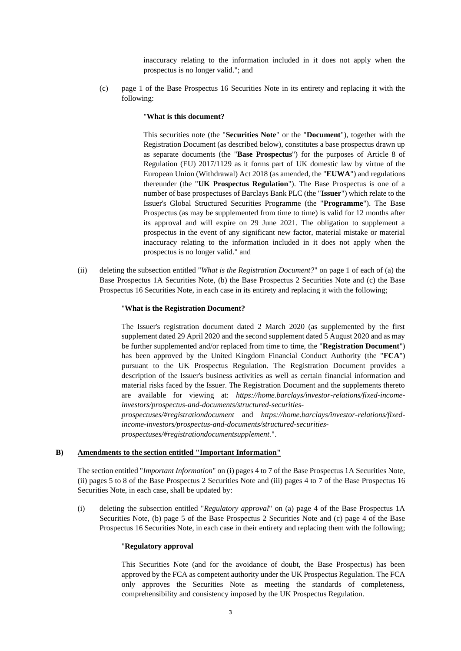inaccuracy relating to the information included in it does not apply when the prospectus is no longer valid."; and

(c) page 1 of the Base Prospectus 16 Securities Note in its entirety and replacing it with the following:

### "**What is this document?**

This securities note (the "**Securities Note**" or the "**Document**"), together with the Registration Document (as described below), constitutes a base prospectus drawn up as separate documents (the "**Base Prospectus**") for the purposes of Article 8 of Regulation (EU) 2017/1129 as it forms part of UK domestic law by virtue of the European Union (Withdrawal) Act 2018 (as amended, the "**EUWA**") and regulations thereunder (the "**UK Prospectus Regulation**"). The Base Prospectus is one of a number of base prospectuses of Barclays Bank PLC (the "**Issuer**") which relate to the Issuer's Global Structured Securities Programme (the "**Programme**"). The Base Prospectus (as may be supplemented from time to time) is valid for 12 months after its approval and will expire on 29 June 2021. The obligation to supplement a prospectus in the event of any significant new factor, material mistake or material inaccuracy relating to the information included in it does not apply when the prospectus is no longer valid." and

(ii) deleting the subsection entitled "*What is the Registration Document?*" on page 1 of each of (a) the Base Prospectus 1A Securities Note, (b) the Base Prospectus 2 Securities Note and (c) the Base Prospectus 16 Securities Note, in each case in its entirety and replacing it with the following;

### "**What is the Registration Document?**

The Issuer's registration document dated 2 March 2020 (as supplemented by the first supplement dated 29 April 2020 and the second supplement dated 5 August 2020 and as may be further supplemented and/or replaced from time to time, the "**Registration Document**") has been approved by the United Kingdom Financial Conduct Authority (the "**FCA**") pursuant to the UK Prospectus Regulation. The Registration Document provides a description of the Issuer's business activities as well as certain financial information and material risks faced by the Issuer. The Registration Document and the supplements thereto are available for viewing at: *https://home.barclays/investor-relations/fixed-incomeinvestors/prospectus-and-documents/structured-securitiesprospectuses/#registrationdocument* and *https://home.barclays/investor-relations/fixedincome-investors/prospectus-and-documents/structured-securitiesprospectuses/#registrationdocumentsupplement.*".

## **B) Amendments to the section entitled "Important Information"**

The section entitled "*Important Information*" on (i) pages 4 to 7 of the Base Prospectus 1A Securities Note, (ii) pages 5 to 8 of the Base Prospectus 2 Securities Note and (iii) pages 4 to 7 of the Base Prospectus 16 Securities Note, in each case, shall be updated by:

(i) deleting the subsection entitled "*Regulatory approval*" on (a) page 4 of the Base Prospectus 1A Securities Note, (b) page 5 of the Base Prospectus 2 Securities Note and (c) page 4 of the Base Prospectus 16 Securities Note, in each case in their entirety and replacing them with the following;

#### "**Regulatory approval**

This Securities Note (and for the avoidance of doubt, the Base Prospectus) has been approved by the FCA as competent authority under the UK Prospectus Regulation. The FCA only approves the Securities Note as meeting the standards of completeness, comprehensibility and consistency imposed by the UK Prospectus Regulation.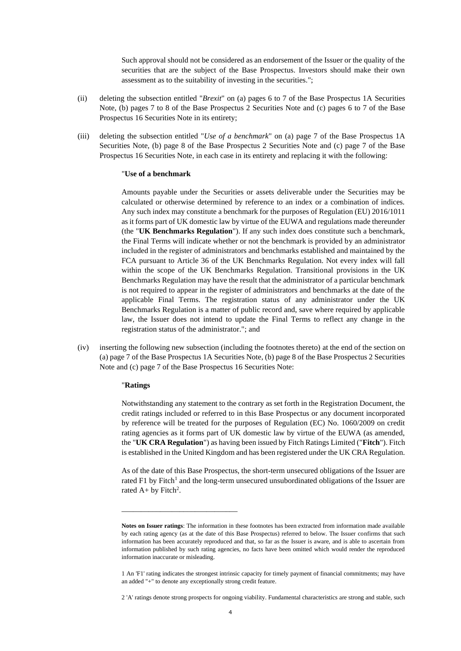Such approval should not be considered as an endorsement of the Issuer or the quality of the securities that are the subject of the Base Prospectus. Investors should make their own assessment as to the suitability of investing in the securities.";

- (ii) deleting the subsection entitled "*Brexit*" on (a) pages 6 to 7 of the Base Prospectus 1A Securities Note, (b) pages 7 to 8 of the Base Prospectus 2 Securities Note and (c) pages 6 to 7 of the Base Prospectus 16 Securities Note in its entirety;
- (iii) deleting the subsection entitled "*Use of a benchmark*" on (a) page 7 of the Base Prospectus 1A Securities Note, (b) page 8 of the Base Prospectus 2 Securities Note and (c) page 7 of the Base Prospectus 16 Securities Note, in each case in its entirety and replacing it with the following:

## "**Use of a benchmark**

Amounts payable under the Securities or assets deliverable under the Securities may be calculated or otherwise determined by reference to an index or a combination of indices. Any such index may constitute a benchmark for the purposes of Regulation (EU) 2016/1011 as it forms part of UK domestic law by virtue of the EUWA and regulations made thereunder (the "**UK Benchmarks Regulation**"). If any such index does constitute such a benchmark, the Final Terms will indicate whether or not the benchmark is provided by an administrator included in the register of administrators and benchmarks established and maintained by the FCA pursuant to Article 36 of the UK Benchmarks Regulation. Not every index will fall within the scope of the UK Benchmarks Regulation. Transitional provisions in the UK Benchmarks Regulation may have the result that the administrator of a particular benchmark is not required to appear in the register of administrators and benchmarks at the date of the applicable Final Terms. The registration status of any administrator under the UK Benchmarks Regulation is a matter of public record and, save where required by applicable law, the Issuer does not intend to update the Final Terms to reflect any change in the registration status of the administrator."; and

(iv) inserting the following new subsection (including the footnotes thereto) at the end of the section on (a) page 7 of the Base Prospectus 1A Securities Note, (b) page 8 of the Base Prospectus 2 Securities Note and (c) page 7 of the Base Prospectus 16 Securities Note:

#### "**Ratings**

\_\_\_\_\_\_\_\_\_\_\_\_\_\_\_\_\_\_\_\_\_\_\_\_\_\_\_\_\_\_

Notwithstanding any statement to the contrary as set forth in the Registration Document, the credit ratings included or referred to in this Base Prospectus or any document incorporated by reference will be treated for the purposes of Regulation (EC) No. 1060/2009 on credit rating agencies as it forms part of UK domestic law by virtue of the EUWA (as amended, the "**UK CRA Regulation**") as having been issued by Fitch Ratings Limited ("**Fitch**"). Fitch is established in the United Kingdom and has been registered under the UK CRA Regulation.

As of the date of this Base Prospectus, the short-term unsecured obligations of the Issuer are rated F1 by Fitch<sup>1</sup> and the long-term unsecured unsubordinated obligations of the Issuer are rated  $A+$  by Fitch<sup>2</sup>.

**Notes on Issuer ratings**: The information in these footnotes has been extracted from information made available by each rating agency (as at the date of this Base Prospectus) referred to below. The Issuer confirms that such information has been accurately reproduced and that, so far as the Issuer is aware, and is able to ascertain from information published by such rating agencies, no facts have been omitted which would render the reproduced information inaccurate or misleading.

<sup>1</sup> An 'F1' rating indicates the strongest intrinsic capacity for timely payment of financial commitments; may have an added "+" to denote any exceptionally strong credit feature.

<sup>2</sup> 'A' ratings denote strong prospects for ongoing viability. Fundamental characteristics are strong and stable, such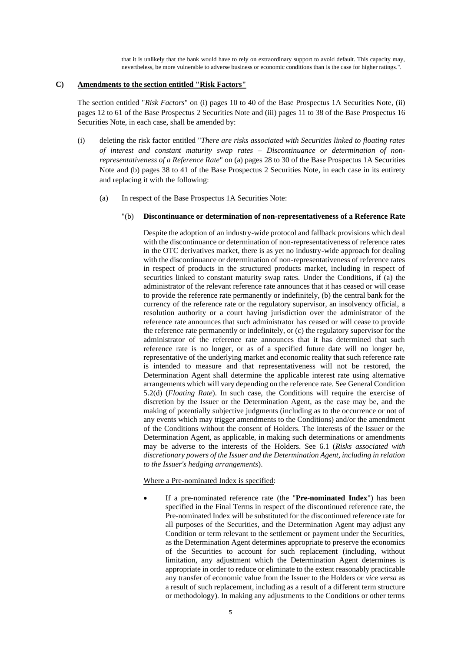that it is unlikely that the bank would have to rely on extraordinary support to avoid default. This capacity may, nevertheless, be more vulnerable to adverse business or economic conditions than is the case for higher ratings.".

## **C) Amendments to the section entitled "Risk Factors"**

The section entitled "*Risk Factors*" on (i) pages 10 to 40 of the Base Prospectus 1A Securities Note, (ii) pages 12 to 61 of the Base Prospectus 2 Securities Note and (iii) pages 11 to 38 of the Base Prospectus 16 Securities Note, in each case, shall be amended by:

- (i) deleting the risk factor entitled "*There are risks associated with Securities linked to floating rates of interest and constant maturity swap rates – Discontinuance or determination of nonrepresentativeness of a Reference Rate*" on (a) pages 28 to 30 of the Base Prospectus 1A Securities Note and (b) pages 38 to 41 of the Base Prospectus 2 Securities Note, in each case in its entirety and replacing it with the following:
	- (a) In respect of the Base Prospectus 1A Securities Note:

# "(b) **Discontinuance or determination of non-representativeness of a Reference Rate**

Despite the adoption of an industry-wide protocol and fallback provisions which deal with the discontinuance or determination of non-representativeness of reference rates in the OTC derivatives market, there is as yet no industry-wide approach for dealing with the discontinuance or determination of non-representativeness of reference rates in respect of products in the structured products market, including in respect of securities linked to constant maturity swap rates. Under the Conditions, if (a) the administrator of the relevant reference rate announces that it has ceased or will cease to provide the reference rate permanently or indefinitely, (b) the central bank for the currency of the reference rate or the regulatory supervisor, an insolvency official, a resolution authority or a court having jurisdiction over the administrator of the reference rate announces that such administrator has ceased or will cease to provide the reference rate permanently or indefinitely, or (c) the regulatory supervisor for the administrator of the reference rate announces that it has determined that such reference rate is no longer, or as of a specified future date will no longer be, representative of the underlying market and economic reality that such reference rate is intended to measure and that representativeness will not be restored, the Determination Agent shall determine the applicable interest rate using alternative arrangements which will vary depending on the reference rate. See General Condition 5.2(d) (*Floating Rate*). In such case, the Conditions will require the exercise of discretion by the Issuer or the Determination Agent, as the case may be, and the making of potentially subjective judgments (including as to the occurrence or not of any events which may trigger amendments to the Conditions) and/or the amendment of the Conditions without the consent of Holders. The interests of the Issuer or the Determination Agent, as applicable, in making such determinations or amendments may be adverse to the interests of the Holders. See 6.1 (*Risks associated with discretionary powers of the Issuer and the Determination Agent, including in relation to the Issuer's hedging arrangements*).

Where a Pre-nominated Index is specified:

• If a pre-nominated reference rate (the "**Pre-nominated Index**") has been specified in the Final Terms in respect of the discontinued reference rate, the Pre-nominated Index will be substituted for the discontinued reference rate for all purposes of the Securities, and the Determination Agent may adjust any Condition or term relevant to the settlement or payment under the Securities, as the Determination Agent determines appropriate to preserve the economics of the Securities to account for such replacement (including, without limitation, any adjustment which the Determination Agent determines is appropriate in order to reduce or eliminate to the extent reasonably practicable any transfer of economic value from the Issuer to the Holders or *vice versa* as a result of such replacement, including as a result of a different term structure or methodology). In making any adjustments to the Conditions or other terms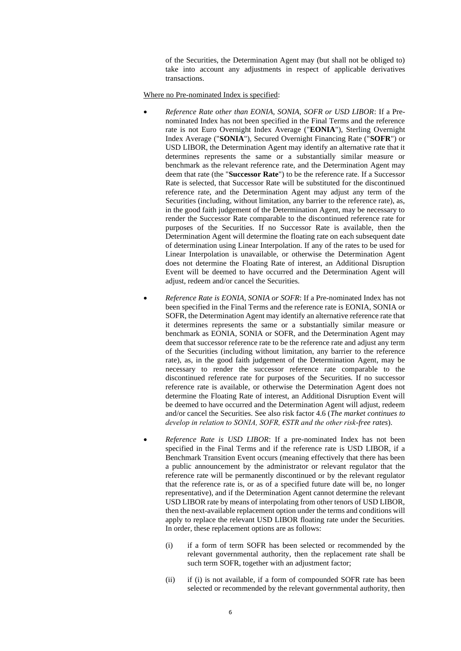of the Securities, the Determination Agent may (but shall not be obliged to) take into account any adjustments in respect of applicable derivatives transactions.

Where no Pre-nominated Index is specified:

- *Reference Rate other than EONIA, SONIA, SOFR or USD LIBOR*: If a Prenominated Index has not been specified in the Final Terms and the reference rate is not Euro Overnight Index Average ("**EONIA**"), Sterling Overnight Index Average ("**SONIA**"), Secured Overnight Financing Rate ("**SOFR**") or USD LIBOR, the Determination Agent may identify an alternative rate that it determines represents the same or a substantially similar measure or benchmark as the relevant reference rate, and the Determination Agent may deem that rate (the "**Successor Rate**") to be the reference rate. If a Successor Rate is selected, that Successor Rate will be substituted for the discontinued reference rate, and the Determination Agent may adjust any term of the Securities (including, without limitation, any barrier to the reference rate), as, in the good faith judgement of the Determination Agent, may be necessary to render the Successor Rate comparable to the discontinued reference rate for purposes of the Securities. If no Successor Rate is available, then the Determination Agent will determine the floating rate on each subsequent date of determination using Linear Interpolation. If any of the rates to be used for Linear Interpolation is unavailable, or otherwise the Determination Agent does not determine the Floating Rate of interest, an Additional Disruption Event will be deemed to have occurred and the Determination Agent will adjust, redeem and/or cancel the Securities.
- *Reference Rate is EONIA, SONIA or SOFR*: If a Pre-nominated Index has not been specified in the Final Terms and the reference rate is EONIA, SONIA or SOFR, the Determination Agent may identify an alternative reference rate that it determines represents the same or a substantially similar measure or benchmark as EONIA, SONIA or SOFR, and the Determination Agent may deem that successor reference rate to be the reference rate and adjust any term of the Securities (including without limitation, any barrier to the reference rate), as, in the good faith judgement of the Determination Agent, may be necessary to render the successor reference rate comparable to the discontinued reference rate for purposes of the Securities. If no successor reference rate is available, or otherwise the Determination Agent does not determine the Floating Rate of interest, an Additional Disruption Event will be deemed to have occurred and the Determination Agent will adjust, redeem and/or cancel the Securities. See also risk factor 4.6 (*The market continues to develop in relation to SONIA, SOFR, €STR and the other risk-free rates*).
- *Reference Rate is USD LIBOR*: If a pre-nominated Index has not been specified in the Final Terms and if the reference rate is USD LIBOR, if a Benchmark Transition Event occurs (meaning effectively that there has been a public announcement by the administrator or relevant regulator that the reference rate will be permanently discontinued or by the relevant regulator that the reference rate is, or as of a specified future date will be, no longer representative), and if the Determination Agent cannot determine the relevant USD LIBOR rate by means of interpolating from other tenors of USD LIBOR, then the next-available replacement option under the terms and conditions will apply to replace the relevant USD LIBOR floating rate under the Securities. In order, these replacement options are as follows:
	- (i) if a form of term SOFR has been selected or recommended by the relevant governmental authority, then the replacement rate shall be such term SOFR, together with an adjustment factor;
	- (ii) if (i) is not available, if a form of compounded SOFR rate has been selected or recommended by the relevant governmental authority, then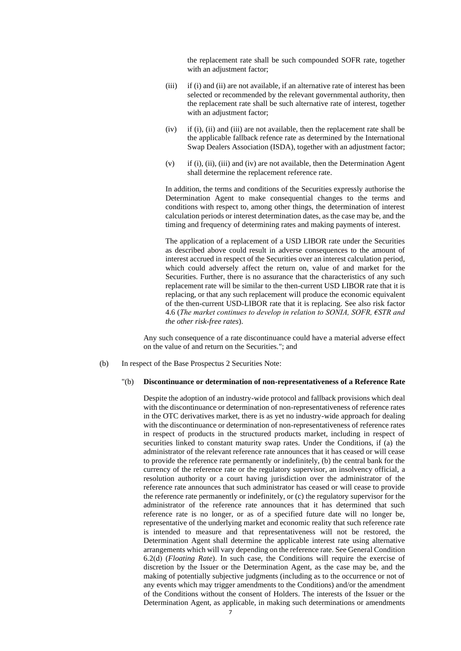the replacement rate shall be such compounded SOFR rate, together with an adjustment factor;

- (iii) if (i) and (ii) are not available, if an alternative rate of interest has been selected or recommended by the relevant governmental authority, then the replacement rate shall be such alternative rate of interest, together with an adjustment factor;
- (iv) if (i), (ii) and (iii) are not available, then the replacement rate shall be the applicable fallback refence rate as determined by the International Swap Dealers Association (ISDA), together with an adjustment factor;
- (v) if (i), (ii), (iii) and (iv) are not available, then the Determination Agent shall determine the replacement reference rate.

In addition, the terms and conditions of the Securities expressly authorise the Determination Agent to make consequential changes to the terms and conditions with respect to, among other things, the determination of interest calculation periods or interest determination dates, as the case may be, and the timing and frequency of determining rates and making payments of interest.

The application of a replacement of a USD LIBOR rate under the Securities as described above could result in adverse consequences to the amount of interest accrued in respect of the Securities over an interest calculation period, which could adversely affect the return on, value of and market for the Securities. Further, there is no assurance that the characteristics of any such replacement rate will be similar to the then-current USD LIBOR rate that it is replacing, or that any such replacement will produce the economic equivalent of the then-current USD-LIBOR rate that it is replacing. See also risk factor 4.6 (*The market continues to develop in relation to SONIA, SOFR, €STR and the other risk-free rates*).

Any such consequence of a rate discontinuance could have a material adverse effect on the value of and return on the Securities."; and

(b) In respect of the Base Prospectus 2 Securities Note:

#### "(b) **Discontinuance or determination of non-representativeness of a Reference Rate**

Despite the adoption of an industry-wide protocol and fallback provisions which deal with the discontinuance or determination of non-representativeness of reference rates in the OTC derivatives market, there is as yet no industry-wide approach for dealing with the discontinuance or determination of non-representativeness of reference rates in respect of products in the structured products market, including in respect of securities linked to constant maturity swap rates. Under the Conditions, if (a) the administrator of the relevant reference rate announces that it has ceased or will cease to provide the reference rate permanently or indefinitely, (b) the central bank for the currency of the reference rate or the regulatory supervisor, an insolvency official, a resolution authority or a court having jurisdiction over the administrator of the reference rate announces that such administrator has ceased or will cease to provide the reference rate permanently or indefinitely, or (c) the regulatory supervisor for the administrator of the reference rate announces that it has determined that such reference rate is no longer, or as of a specified future date will no longer be, representative of the underlying market and economic reality that such reference rate is intended to measure and that representativeness will not be restored, the Determination Agent shall determine the applicable interest rate using alternative arrangements which will vary depending on the reference rate. See General Condition 6.2(d) (*Floating Rate*). In such case, the Conditions will require the exercise of discretion by the Issuer or the Determination Agent, as the case may be, and the making of potentially subjective judgments (including as to the occurrence or not of any events which may trigger amendments to the Conditions) and/or the amendment of the Conditions without the consent of Holders. The interests of the Issuer or the Determination Agent, as applicable, in making such determinations or amendments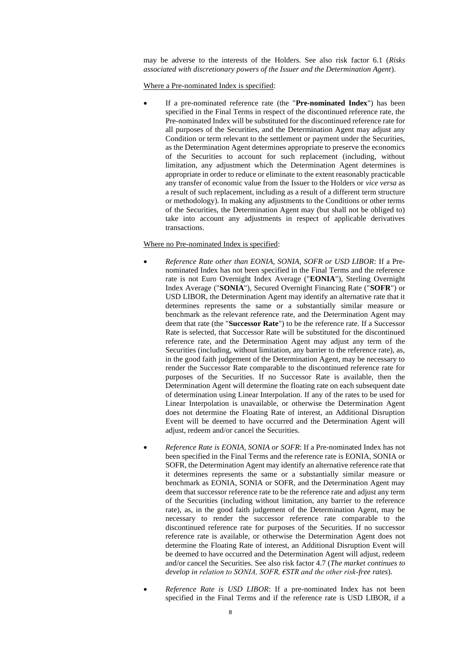may be adverse to the interests of the Holders. See also risk factor 6.1 (*Risks associated with discretionary powers of the Issuer and the Determination Agent*).

Where a Pre-nominated Index is specified:

• If a pre-nominated reference rate (the "**Pre-nominated Index**") has been specified in the Final Terms in respect of the discontinued reference rate, the Pre-nominated Index will be substituted for the discontinued reference rate for all purposes of the Securities, and the Determination Agent may adjust any Condition or term relevant to the settlement or payment under the Securities, as the Determination Agent determines appropriate to preserve the economics of the Securities to account for such replacement (including, without limitation, any adjustment which the Determination Agent determines is appropriate in order to reduce or eliminate to the extent reasonably practicable any transfer of economic value from the Issuer to the Holders or *vice versa* as a result of such replacement, including as a result of a different term structure or methodology). In making any adjustments to the Conditions or other terms of the Securities, the Determination Agent may (but shall not be obliged to) take into account any adjustments in respect of applicable derivatives transactions.

#### Where no Pre-nominated Index is specified:

- *Reference Rate other than EONIA, SONIA, SOFR or USD LIBOR*: If a Prenominated Index has not been specified in the Final Terms and the reference rate is not Euro Overnight Index Average ("**EONIA**"), Sterling Overnight Index Average ("**SONIA**"), Secured Overnight Financing Rate ("**SOFR**") or USD LIBOR, the Determination Agent may identify an alternative rate that it determines represents the same or a substantially similar measure or benchmark as the relevant reference rate, and the Determination Agent may deem that rate (the "**Successor Rate**") to be the reference rate. If a Successor Rate is selected, that Successor Rate will be substituted for the discontinued reference rate, and the Determination Agent may adjust any term of the Securities (including, without limitation, any barrier to the reference rate), as, in the good faith judgement of the Determination Agent, may be necessary to render the Successor Rate comparable to the discontinued reference rate for purposes of the Securities. If no Successor Rate is available, then the Determination Agent will determine the floating rate on each subsequent date of determination using Linear Interpolation. If any of the rates to be used for Linear Interpolation is unavailable, or otherwise the Determination Agent does not determine the Floating Rate of interest, an Additional Disruption Event will be deemed to have occurred and the Determination Agent will adjust, redeem and/or cancel the Securities.
- *Reference Rate is EONIA, SONIA or SOFR*: If a Pre-nominated Index has not been specified in the Final Terms and the reference rate is EONIA, SONIA or SOFR, the Determination Agent may identify an alternative reference rate that it determines represents the same or a substantially similar measure or benchmark as EONIA, SONIA or SOFR, and the Determination Agent may deem that successor reference rate to be the reference rate and adjust any term of the Securities (including without limitation, any barrier to the reference rate), as, in the good faith judgement of the Determination Agent, may be necessary to render the successor reference rate comparable to the discontinued reference rate for purposes of the Securities. If no successor reference rate is available, or otherwise the Determination Agent does not determine the Floating Rate of interest, an Additional Disruption Event will be deemed to have occurred and the Determination Agent will adjust, redeem and/or cancel the Securities. See also risk factor 4.7 (*The market continues to develop in relation to SONIA, SOFR, €STR and the other risk-free rates*).
- *Reference Rate is USD LIBOR*: If a pre-nominated Index has not been specified in the Final Terms and if the reference rate is USD LIBOR, if a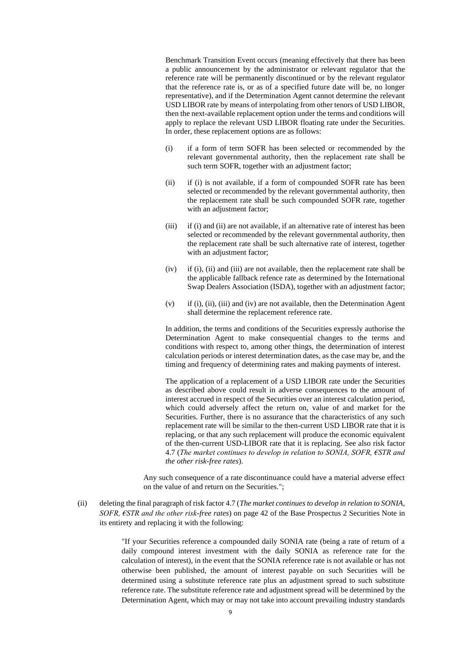Benchmark Transition Event occurs (meaning effectively that there has been a public announcement by the administrator or relevant regulator that the reference rate will be permanently discontinued or by the relevant regulator that the reference rate is, or as of a specified future date will be, no longer representative), and if the Determination Agent cannot determine the relevant USD LIBOR rate by means of interpolating from other tenors of USD LIBOR, then the next-available replacement option under the terms and conditions will apply to replace the relevant USD LIBOR floating rate under the Securities. In order, these replacement options are as follows:

- (i) if a form of term SOFR has been selected or recommended by the relevant governmental authority, then the replacement rate shall be such term SOFR, together with an adjustment factor;
- (ii) if (i) is not available, if a form of compounded SOFR rate has been selected or recommended by the relevant governmental authority, then the replacement rate shall be such compounded SOFR rate, together with an adjustment factor;
- (iii) if (i) and (ii) are not available, if an alternative rate of interest has been selected or recommended by the relevant governmental authority, then the replacement rate shall be such alternative rate of interest, together with an adjustment factor;
- (iv) if (i), (ii) and (iii) are not available, then the replacement rate shall be the applicable fallback refence rate as determined by the International Swap Dealers Association (ISDA), together with an adjustment factor;
- (v) if (i), (ii), (iii) and (iv) are not available, then the Determination Agent shall determine the replacement reference rate.

In addition, the terms and conditions of the Securities expressly authorise the Determination Agent to make consequential changes to the terms and conditions with respect to, among other things, the determination of interest calculation periods or interest determination dates, as the case may be, and the timing and frequency of determining rates and making payments of interest.

The application of a replacement of a USD LIBOR rate under the Securities as described above could result in adverse consequences to the amount of interest accrued in respect of the Securities over an interest calculation period, which could adversely affect the return on, value of and market for the Securities. Further, there is no assurance that the characteristics of any such replacement rate will be similar to the then-current USD LIBOR rate that it is replacing, or that any such replacement will produce the economic equivalent of the then-current USD-LIBOR rate that it is replacing. See also risk factor 4.7 (*The market continues to develop in relation to SONIA, SOFR, €STR and the other risk-free rates*).

Any such consequence of a rate discontinuance could have a material adverse effect on the value of and return on the Securities.";

(ii) deleting the final paragraph of risk factor 4.7 (*The market continues to develop in relation to SONIA, SOFR, €STR and the other risk-free rates*) on page 42 of the Base Prospectus 2 Securities Note in its entirety and replacing it with the following:

> "If your Securities reference a compounded daily SONIA rate (being a rate of return of a daily compound interest investment with the daily SONIA as reference rate for the calculation of interest), in the event that the SONIA reference rate is not available or has not otherwise been published, the amount of interest payable on such Securities will be determined using a substitute reference rate plus an adjustment spread to such substitute reference rate. The substitute reference rate and adjustment spread will be determined by the Determination Agent, which may or may not take into account prevailing industry standards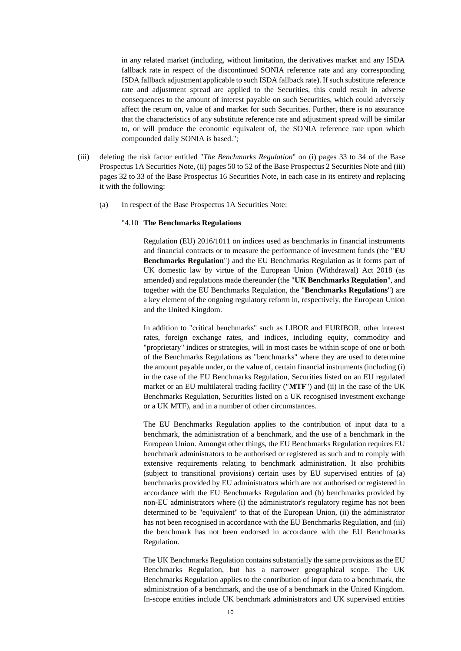in any related market (including, without limitation, the derivatives market and any ISDA fallback rate in respect of the discontinued SONIA reference rate and any corresponding ISDA fallback adjustment applicable to such ISDA fallback rate). If such substitute reference rate and adjustment spread are applied to the Securities, this could result in adverse consequences to the amount of interest payable on such Securities, which could adversely affect the return on, value of and market for such Securities. Further, there is no assurance that the characteristics of any substitute reference rate and adjustment spread will be similar to, or will produce the economic equivalent of, the SONIA reference rate upon which compounded daily SONIA is based.";

- (iii) deleting the risk factor entitled "*The Benchmarks Regulation*" on (i) pages 33 to 34 of the Base Prospectus 1A Securities Note, (ii) pages 50 to 52 of the Base Prospectus 2 Securities Note and (iii) pages 32 to 33 of the Base Prospectus 16 Securities Note, in each case in its entirety and replacing it with the following:
	- (a) In respect of the Base Prospectus 1A Securities Note:

#### "4.10 **The Benchmarks Regulations**

Regulation (EU) 2016/1011 on indices used as benchmarks in financial instruments and financial contracts or to measure the performance of investment funds (the "**EU Benchmarks Regulation**") and the EU Benchmarks Regulation as it forms part of UK domestic law by virtue of the European Union (Withdrawal) Act 2018 (as amended) and regulations made thereunder (the "**UK Benchmarks Regulation**", and together with the EU Benchmarks Regulation, the "**Benchmarks Regulations**") are a key element of the ongoing regulatory reform in, respectively, the European Union and the United Kingdom.

In addition to "critical benchmarks" such as LIBOR and EURIBOR, other interest rates, foreign exchange rates, and indices, including equity, commodity and "proprietary" indices or strategies, will in most cases be within scope of one or both of the Benchmarks Regulations as "benchmarks" where they are used to determine the amount payable under, or the value of, certain financial instruments (including (i) in the case of the EU Benchmarks Regulation, Securities listed on an EU regulated market or an EU multilateral trading facility ("**MTF**") and (ii) in the case of the UK Benchmarks Regulation, Securities listed on a UK recognised investment exchange or a UK MTF), and in a number of other circumstances.

The EU Benchmarks Regulation applies to the contribution of input data to a benchmark, the administration of a benchmark, and the use of a benchmark in the European Union. Amongst other things, the EU Benchmarks Regulation requires EU benchmark administrators to be authorised or registered as such and to comply with extensive requirements relating to benchmark administration. It also prohibits (subject to transitional provisions) certain uses by EU supervised entities of (a) benchmarks provided by EU administrators which are not authorised or registered in accordance with the EU Benchmarks Regulation and (b) benchmarks provided by non-EU administrators where (i) the administrator's regulatory regime has not been determined to be "equivalent" to that of the European Union, (ii) the administrator has not been recognised in accordance with the EU Benchmarks Regulation, and (iii) the benchmark has not been endorsed in accordance with the EU Benchmarks Regulation.

The UK Benchmarks Regulation contains substantially the same provisions as the EU Benchmarks Regulation, but has a narrower geographical scope. The UK Benchmarks Regulation applies to the contribution of input data to a benchmark, the administration of a benchmark, and the use of a benchmark in the United Kingdom. In-scope entities include UK benchmark administrators and UK supervised entities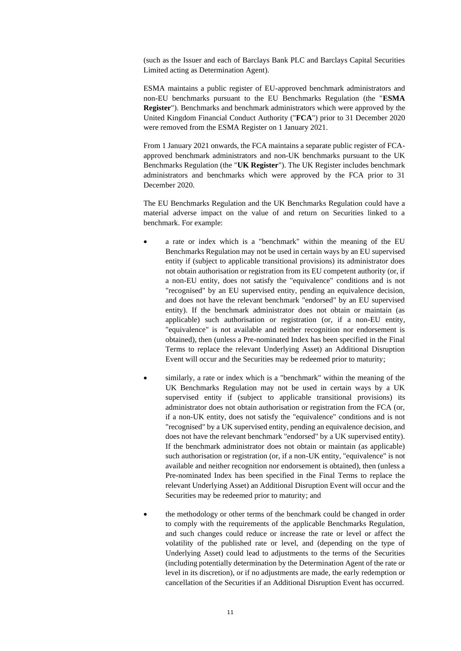(such as the Issuer and each of Barclays Bank PLC and Barclays Capital Securities Limited acting as Determination Agent).

ESMA maintains a public register of EU-approved benchmark administrators and non-EU benchmarks pursuant to the EU Benchmarks Regulation (the "**ESMA Register**"). Benchmarks and benchmark administrators which were approved by the United Kingdom Financial Conduct Authority ("**FCA**") prior to 31 December 2020 were removed from the ESMA Register on 1 January 2021.

From 1 January 2021 onwards, the FCA maintains a separate public register of FCAapproved benchmark administrators and non-UK benchmarks pursuant to the UK Benchmarks Regulation (the "**UK Register**"). The UK Register includes benchmark administrators and benchmarks which were approved by the FCA prior to 31 December 2020.

The EU Benchmarks Regulation and the UK Benchmarks Regulation could have a material adverse impact on the value of and return on Securities linked to a benchmark. For example:

- a rate or index which is a "benchmark" within the meaning of the EU Benchmarks Regulation may not be used in certain ways by an EU supervised entity if (subject to applicable transitional provisions) its administrator does not obtain authorisation or registration from its EU competent authority (or, if a non-EU entity, does not satisfy the "equivalence" conditions and is not "recognised" by an EU supervised entity, pending an equivalence decision, and does not have the relevant benchmark "endorsed" by an EU supervised entity). If the benchmark administrator does not obtain or maintain (as applicable) such authorisation or registration (or, if a non-EU entity, "equivalence" is not available and neither recognition nor endorsement is obtained), then (unless a Pre-nominated Index has been specified in the Final Terms to replace the relevant Underlying Asset) an Additional Disruption Event will occur and the Securities may be redeemed prior to maturity;
- similarly, a rate or index which is a "benchmark" within the meaning of the UK Benchmarks Regulation may not be used in certain ways by a UK supervised entity if (subject to applicable transitional provisions) its administrator does not obtain authorisation or registration from the FCA (or, if a non-UK entity, does not satisfy the "equivalence" conditions and is not "recognised" by a UK supervised entity, pending an equivalence decision, and does not have the relevant benchmark "endorsed" by a UK supervised entity). If the benchmark administrator does not obtain or maintain (as applicable) such authorisation or registration (or, if a non-UK entity, "equivalence" is not available and neither recognition nor endorsement is obtained), then (unless a Pre-nominated Index has been specified in the Final Terms to replace the relevant Underlying Asset) an Additional Disruption Event will occur and the Securities may be redeemed prior to maturity; and
- the methodology or other terms of the benchmark could be changed in order to comply with the requirements of the applicable Benchmarks Regulation, and such changes could reduce or increase the rate or level or affect the volatility of the published rate or level, and (depending on the type of Underlying Asset) could lead to adjustments to the terms of the Securities (including potentially determination by the Determination Agent of the rate or level in its discretion), or if no adjustments are made, the early redemption or cancellation of the Securities if an Additional Disruption Event has occurred.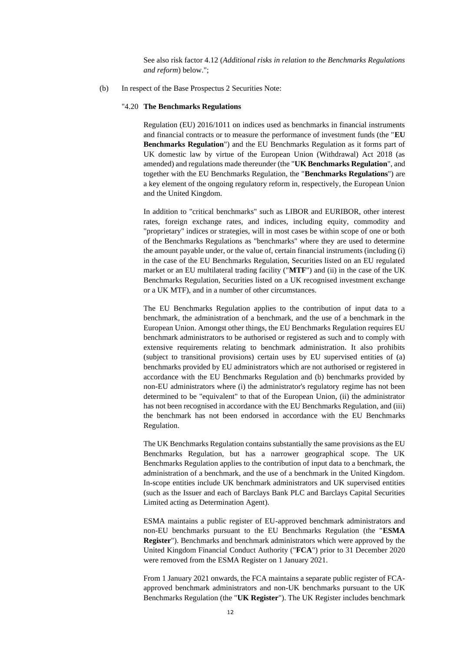See also risk factor 4.12 (*Additional risks in relation to the Benchmarks Regulations and reform*) below.";

(b) In respect of the Base Prospectus 2 Securities Note:

### "4.20 **The Benchmarks Regulations**

Regulation (EU) 2016/1011 on indices used as benchmarks in financial instruments and financial contracts or to measure the performance of investment funds (the "**EU Benchmarks Regulation**") and the EU Benchmarks Regulation as it forms part of UK domestic law by virtue of the European Union (Withdrawal) Act 2018 (as amended) and regulations made thereunder (the "**UK Benchmarks Regulation**", and together with the EU Benchmarks Regulation, the "**Benchmarks Regulations**") are a key element of the ongoing regulatory reform in, respectively, the European Union and the United Kingdom.

In addition to "critical benchmarks" such as LIBOR and EURIBOR, other interest rates, foreign exchange rates, and indices, including equity, commodity and "proprietary" indices or strategies, will in most cases be within scope of one or both of the Benchmarks Regulations as "benchmarks" where they are used to determine the amount payable under, or the value of, certain financial instruments (including (i) in the case of the EU Benchmarks Regulation, Securities listed on an EU regulated market or an EU multilateral trading facility ("**MTF**") and (ii) in the case of the UK Benchmarks Regulation, Securities listed on a UK recognised investment exchange or a UK MTF), and in a number of other circumstances.

The EU Benchmarks Regulation applies to the contribution of input data to a benchmark, the administration of a benchmark, and the use of a benchmark in the European Union. Amongst other things, the EU Benchmarks Regulation requires EU benchmark administrators to be authorised or registered as such and to comply with extensive requirements relating to benchmark administration. It also prohibits (subject to transitional provisions) certain uses by EU supervised entities of (a) benchmarks provided by EU administrators which are not authorised or registered in accordance with the EU Benchmarks Regulation and (b) benchmarks provided by non-EU administrators where (i) the administrator's regulatory regime has not been determined to be "equivalent" to that of the European Union, (ii) the administrator has not been recognised in accordance with the EU Benchmarks Regulation, and (iii) the benchmark has not been endorsed in accordance with the EU Benchmarks Regulation.

The UK Benchmarks Regulation contains substantially the same provisions as the EU Benchmarks Regulation, but has a narrower geographical scope. The UK Benchmarks Regulation applies to the contribution of input data to a benchmark, the administration of a benchmark, and the use of a benchmark in the United Kingdom. In-scope entities include UK benchmark administrators and UK supervised entities (such as the Issuer and each of Barclays Bank PLC and Barclays Capital Securities Limited acting as Determination Agent).

ESMA maintains a public register of EU-approved benchmark administrators and non-EU benchmarks pursuant to the EU Benchmarks Regulation (the "**ESMA Register**"). Benchmarks and benchmark administrators which were approved by the United Kingdom Financial Conduct Authority ("**FCA**") prior to 31 December 2020 were removed from the ESMA Register on 1 January 2021.

From 1 January 2021 onwards, the FCA maintains a separate public register of FCAapproved benchmark administrators and non-UK benchmarks pursuant to the UK Benchmarks Regulation (the "**UK Register**"). The UK Register includes benchmark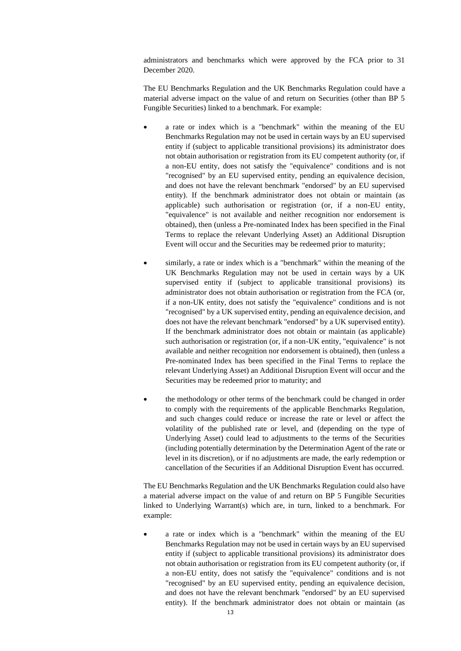administrators and benchmarks which were approved by the FCA prior to 31 December 2020.

The EU Benchmarks Regulation and the UK Benchmarks Regulation could have a material adverse impact on the value of and return on Securities (other than BP 5 Fungible Securities) linked to a benchmark. For example:

- a rate or index which is a "benchmark" within the meaning of the EU Benchmarks Regulation may not be used in certain ways by an EU supervised entity if (subject to applicable transitional provisions) its administrator does not obtain authorisation or registration from its EU competent authority (or, if a non-EU entity, does not satisfy the "equivalence" conditions and is not "recognised" by an EU supervised entity, pending an equivalence decision, and does not have the relevant benchmark "endorsed" by an EU supervised entity). If the benchmark administrator does not obtain or maintain (as applicable) such authorisation or registration (or, if a non-EU entity, "equivalence" is not available and neither recognition nor endorsement is obtained), then (unless a Pre-nominated Index has been specified in the Final Terms to replace the relevant Underlying Asset) an Additional Disruption Event will occur and the Securities may be redeemed prior to maturity;
- similarly, a rate or index which is a "benchmark" within the meaning of the UK Benchmarks Regulation may not be used in certain ways by a UK supervised entity if (subject to applicable transitional provisions) its administrator does not obtain authorisation or registration from the FCA (or, if a non-UK entity, does not satisfy the "equivalence" conditions and is not "recognised" by a UK supervised entity, pending an equivalence decision, and does not have the relevant benchmark "endorsed" by a UK supervised entity). If the benchmark administrator does not obtain or maintain (as applicable) such authorisation or registration (or, if a non-UK entity, "equivalence" is not available and neither recognition nor endorsement is obtained), then (unless a Pre-nominated Index has been specified in the Final Terms to replace the relevant Underlying Asset) an Additional Disruption Event will occur and the Securities may be redeemed prior to maturity; and
- the methodology or other terms of the benchmark could be changed in order to comply with the requirements of the applicable Benchmarks Regulation, and such changes could reduce or increase the rate or level or affect the volatility of the published rate or level, and (depending on the type of Underlying Asset) could lead to adjustments to the terms of the Securities (including potentially determination by the Determination Agent of the rate or level in its discretion), or if no adjustments are made, the early redemption or cancellation of the Securities if an Additional Disruption Event has occurred.

The EU Benchmarks Regulation and the UK Benchmarks Regulation could also have a material adverse impact on the value of and return on BP 5 Fungible Securities linked to Underlying Warrant(s) which are, in turn, linked to a benchmark. For example:

• a rate or index which is a "benchmark" within the meaning of the EU Benchmarks Regulation may not be used in certain ways by an EU supervised entity if (subject to applicable transitional provisions) its administrator does not obtain authorisation or registration from its EU competent authority (or, if a non-EU entity, does not satisfy the "equivalence" conditions and is not "recognised" by an EU supervised entity, pending an equivalence decision, and does not have the relevant benchmark "endorsed" by an EU supervised entity). If the benchmark administrator does not obtain or maintain (as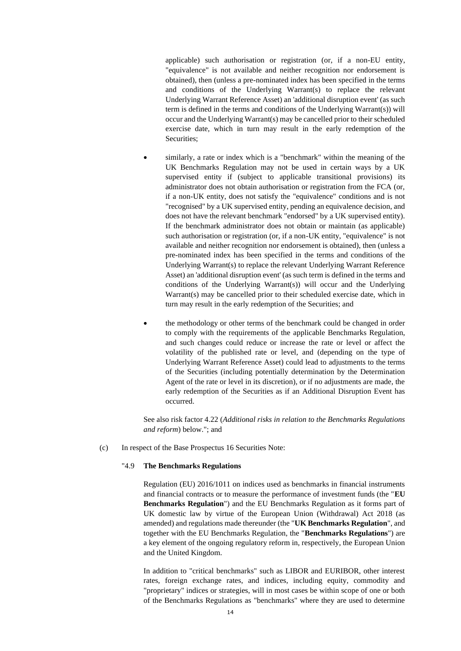applicable) such authorisation or registration (or, if a non-EU entity, "equivalence" is not available and neither recognition nor endorsement is obtained), then (unless a pre-nominated index has been specified in the terms and conditions of the Underlying Warrant(s) to replace the relevant Underlying Warrant Reference Asset) an 'additional disruption event' (as such term is defined in the terms and conditions of the Underlying Warrant(s)) will occur and the Underlying Warrant(s) may be cancelled prior to their scheduled exercise date, which in turn may result in the early redemption of the Securities;

- similarly, a rate or index which is a "benchmark" within the meaning of the UK Benchmarks Regulation may not be used in certain ways by a UK supervised entity if (subject to applicable transitional provisions) its administrator does not obtain authorisation or registration from the FCA (or, if a non-UK entity, does not satisfy the "equivalence" conditions and is not "recognised" by a UK supervised entity, pending an equivalence decision, and does not have the relevant benchmark "endorsed" by a UK supervised entity). If the benchmark administrator does not obtain or maintain (as applicable) such authorisation or registration (or, if a non-UK entity, "equivalence" is not available and neither recognition nor endorsement is obtained), then (unless a pre-nominated index has been specified in the terms and conditions of the Underlying Warrant(s) to replace the relevant Underlying Warrant Reference Asset) an 'additional disruption event' (as such term is defined in the terms and conditions of the Underlying Warrant(s)) will occur and the Underlying Warrant(s) may be cancelled prior to their scheduled exercise date, which in turn may result in the early redemption of the Securities; and
- the methodology or other terms of the benchmark could be changed in order to comply with the requirements of the applicable Benchmarks Regulation, and such changes could reduce or increase the rate or level or affect the volatility of the published rate or level, and (depending on the type of Underlying Warrant Reference Asset) could lead to adjustments to the terms of the Securities (including potentially determination by the Determination Agent of the rate or level in its discretion), or if no adjustments are made, the early redemption of the Securities as if an Additional Disruption Event has occurred.

See also risk factor 4.22 (*Additional risks in relation to the Benchmarks Regulations and reform*) below."; and

(c) In respect of the Base Prospectus 16 Securities Note:

# "4.9 **The Benchmarks Regulations**

Regulation (EU) 2016/1011 on indices used as benchmarks in financial instruments and financial contracts or to measure the performance of investment funds (the "**EU Benchmarks Regulation**") and the EU Benchmarks Regulation as it forms part of UK domestic law by virtue of the European Union (Withdrawal) Act 2018 (as amended) and regulations made thereunder (the "**UK Benchmarks Regulation**", and together with the EU Benchmarks Regulation, the "**Benchmarks Regulations**") are a key element of the ongoing regulatory reform in, respectively, the European Union and the United Kingdom.

In addition to "critical benchmarks" such as LIBOR and EURIBOR, other interest rates, foreign exchange rates, and indices, including equity, commodity and "proprietary" indices or strategies, will in most cases be within scope of one or both of the Benchmarks Regulations as "benchmarks" where they are used to determine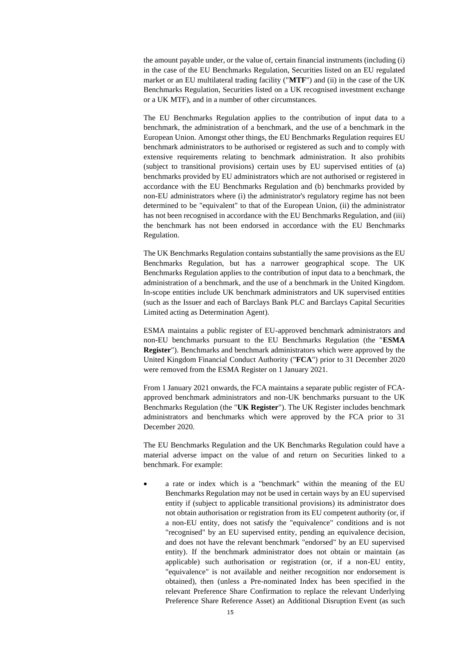the amount payable under, or the value of, certain financial instruments (including (i) in the case of the EU Benchmarks Regulation, Securities listed on an EU regulated market or an EU multilateral trading facility ("**MTF**") and (ii) in the case of the UK Benchmarks Regulation, Securities listed on a UK recognised investment exchange or a UK MTF), and in a number of other circumstances.

The EU Benchmarks Regulation applies to the contribution of input data to a benchmark, the administration of a benchmark, and the use of a benchmark in the European Union. Amongst other things, the EU Benchmarks Regulation requires EU benchmark administrators to be authorised or registered as such and to comply with extensive requirements relating to benchmark administration. It also prohibits (subject to transitional provisions) certain uses by EU supervised entities of (a) benchmarks provided by EU administrators which are not authorised or registered in accordance with the EU Benchmarks Regulation and (b) benchmarks provided by non-EU administrators where (i) the administrator's regulatory regime has not been determined to be "equivalent" to that of the European Union, (ii) the administrator has not been recognised in accordance with the EU Benchmarks Regulation, and (iii) the benchmark has not been endorsed in accordance with the EU Benchmarks Regulation.

The UK Benchmarks Regulation contains substantially the same provisions as the EU Benchmarks Regulation, but has a narrower geographical scope. The UK Benchmarks Regulation applies to the contribution of input data to a benchmark, the administration of a benchmark, and the use of a benchmark in the United Kingdom. In-scope entities include UK benchmark administrators and UK supervised entities (such as the Issuer and each of Barclays Bank PLC and Barclays Capital Securities Limited acting as Determination Agent).

ESMA maintains a public register of EU-approved benchmark administrators and non-EU benchmarks pursuant to the EU Benchmarks Regulation (the "**ESMA Register**"). Benchmarks and benchmark administrators which were approved by the United Kingdom Financial Conduct Authority ("**FCA**") prior to 31 December 2020 were removed from the ESMA Register on 1 January 2021.

From 1 January 2021 onwards, the FCA maintains a separate public register of FCAapproved benchmark administrators and non-UK benchmarks pursuant to the UK Benchmarks Regulation (the "**UK Register**"). The UK Register includes benchmark administrators and benchmarks which were approved by the FCA prior to 31 December 2020.

The EU Benchmarks Regulation and the UK Benchmarks Regulation could have a material adverse impact on the value of and return on Securities linked to a benchmark. For example:

• a rate or index which is a "benchmark" within the meaning of the EU Benchmarks Regulation may not be used in certain ways by an EU supervised entity if (subject to applicable transitional provisions) its administrator does not obtain authorisation or registration from its EU competent authority (or, if a non-EU entity, does not satisfy the "equivalence" conditions and is not "recognised" by an EU supervised entity, pending an equivalence decision, and does not have the relevant benchmark "endorsed" by an EU supervised entity). If the benchmark administrator does not obtain or maintain (as applicable) such authorisation or registration (or, if a non-EU entity, "equivalence" is not available and neither recognition nor endorsement is obtained), then (unless a Pre-nominated Index has been specified in the relevant Preference Share Confirmation to replace the relevant Underlying Preference Share Reference Asset) an Additional Disruption Event (as such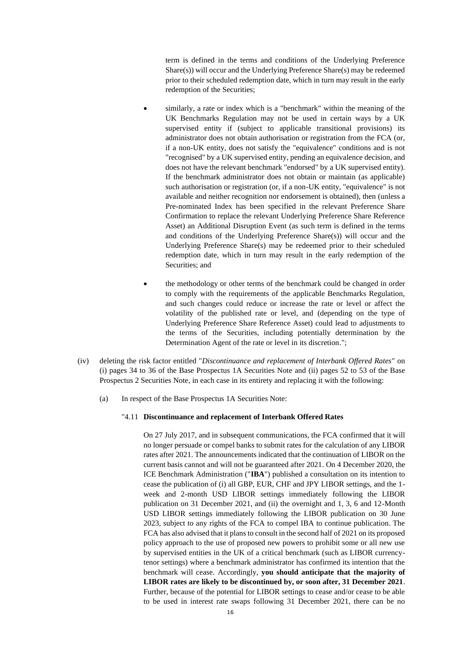term is defined in the terms and conditions of the Underlying Preference Share(s)) will occur and the Underlying Preference Share(s) may be redeemed prior to their scheduled redemption date, which in turn may result in the early redemption of the Securities;

- similarly, a rate or index which is a "benchmark" within the meaning of the UK Benchmarks Regulation may not be used in certain ways by a UK supervised entity if (subject to applicable transitional provisions) its administrator does not obtain authorisation or registration from the FCA (or, if a non-UK entity, does not satisfy the "equivalence" conditions and is not "recognised" by a UK supervised entity, pending an equivalence decision, and does not have the relevant benchmark "endorsed" by a UK supervised entity). If the benchmark administrator does not obtain or maintain (as applicable) such authorisation or registration (or, if a non-UK entity, "equivalence" is not available and neither recognition nor endorsement is obtained), then (unless a Pre-nominated Index has been specified in the relevant Preference Share Confirmation to replace the relevant Underlying Preference Share Reference Asset) an Additional Disruption Event (as such term is defined in the terms and conditions of the Underlying Preference Share(s)) will occur and the Underlying Preference Share(s) may be redeemed prior to their scheduled redemption date, which in turn may result in the early redemption of the Securities; and
- the methodology or other terms of the benchmark could be changed in order to comply with the requirements of the applicable Benchmarks Regulation, and such changes could reduce or increase the rate or level or affect the volatility of the published rate or level, and (depending on the type of Underlying Preference Share Reference Asset) could lead to adjustments to the terms of the Securities, including potentially determination by the Determination Agent of the rate or level in its discretion.";
- (iv) deleting the risk factor entitled "*Discontinuance and replacement of Interbank Offered Rates*" on (i) pages 34 to 36 of the Base Prospectus 1A Securities Note and (ii) pages 52 to 53 of the Base Prospectus 2 Securities Note, in each case in its entirety and replacing it with the following:
	- (a) In respect of the Base Prospectus 1A Securities Note:

#### "4.11 **Discontinuance and replacement of Interbank Offered Rates**

On 27 July 2017, and in subsequent communications, the FCA confirmed that it will no longer persuade or compel banks to submit rates for the calculation of any LIBOR rates after 2021. The announcements indicated that the continuation of LIBOR on the current basis cannot and will not be guaranteed after 2021. On 4 December 2020, the ICE Benchmark Administration ("**IBA**") published a consultation on its intention to cease the publication of (i) all GBP, EUR, CHF and JPY LIBOR settings, and the 1 week and 2-month USD LIBOR settings immediately following the LIBOR publication on 31 December 2021, and (ii) the overnight and 1, 3, 6 and 12-Month USD LIBOR settings immediately following the LIBOR publication on 30 June 2023, subject to any rights of the FCA to compel IBA to continue publication. The FCA has also advised that it plans to consult in the second half of 2021 on its proposed policy approach to the use of proposed new powers to prohibit some or all new use by supervised entities in the UK of a critical benchmark (such as LIBOR currencytenor settings) where a benchmark administrator has confirmed its intention that the benchmark will cease. Accordingly, **you should anticipate that the majority of LIBOR rates are likely to be discontinued by, or soon after, 31 December 2021**. Further, because of the potential for LIBOR settings to cease and/or cease to be able to be used in interest rate swaps following 31 December 2021, there can be no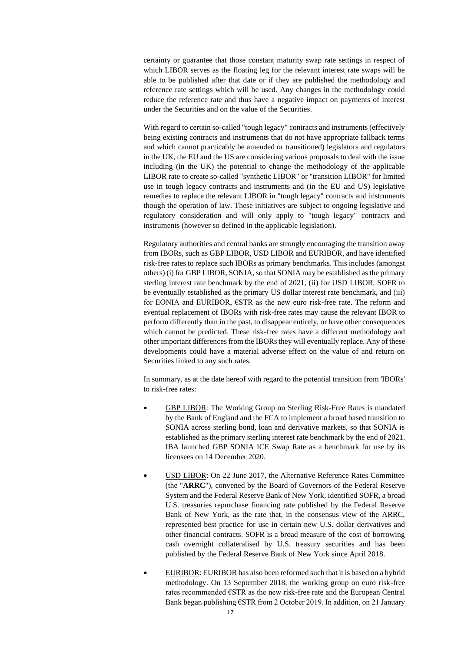certainty or guarantee that those constant maturity swap rate settings in respect of which LIBOR serves as the floating leg for the relevant interest rate swaps will be able to be published after that date or if they are published the methodology and reference rate settings which will be used. Any changes in the methodology could reduce the reference rate and thus have a negative impact on payments of interest under the Securities and on the value of the Securities.

With regard to certain so-called "tough legacy" contracts and instruments (effectively being existing contracts and instruments that do not have appropriate fallback terms and which cannot practicably be amended or transitioned) legislators and regulators in the UK, the EU and the US are considering various proposals to deal with the issue including (in the UK) the potential to change the methodology of the applicable LIBOR rate to create so-called "synthetic LIBOR" or "transition LIBOR" for limited use in tough legacy contracts and instruments and (in the EU and US) legislative remedies to replace the relevant LIBOR in "tough legacy" contracts and instruments though the operation of law. These initiatives are subject to ongoing legislative and regulatory consideration and will only apply to "tough legacy" contracts and instruments (however so defined in the applicable legislation).

Regulatory authorities and central banks are strongly encouraging the transition away from IBORs, such as GBP LIBOR, USD LIBOR and EURIBOR, and have identified risk-free rates to replace such IBORs as primary benchmarks. This includes (amongst others) (i) for GBP LIBOR, SONIA, so that SONIA may be established as the primary sterling interest rate benchmark by the end of 2021, (ii) for USD LIBOR, SOFR to be eventually established as the primary US dollar interest rate benchmark, and (iii) for EONIA and EURIBOR, €STR as the new euro risk-free rate. The reform and eventual replacement of IBORs with risk-free rates may cause the relevant IBOR to perform differently than in the past, to disappear entirely, or have other consequences which cannot be predicted. These risk-free rates have a different methodology and other important differences from the IBORs they will eventually replace. Any of these developments could have a material adverse effect on the value of and return on Securities linked to any such rates.

In summary, as at the date hereof with regard to the potential transition from 'IBORs' to risk-free rates:

- GBP LIBOR: The Working Group on Sterling Risk-Free Rates is mandated by the Bank of England and the FCA to implement a broad based transition to SONIA across sterling bond, loan and derivative markets, so that SONIA is established as the primary sterling interest rate benchmark by the end of 2021. IBA launched GBP SONIA ICE Swap Rate as a benchmark for use by its licensees on 14 December 2020.
- USD LIBOR: On 22 June 2017, the Alternative Reference Rates Committee (the "**ARRC**"), convened by the Board of Governors of the Federal Reserve System and the Federal Reserve Bank of New York, identified SOFR, a broad U.S. treasuries repurchase financing rate published by the Federal Reserve Bank of New York, as the rate that, in the consensus view of the ARRC, represented best practice for use in certain new U.S. dollar derivatives and other financial contracts. SOFR is a broad measure of the cost of borrowing cash overnight collateralised by U.S. treasury securities and has been published by the Federal Reserve Bank of New York since April 2018.
- EURIBOR: EURIBOR has also been reformed such that it is based on a hybrid methodology. On 13 September 2018, the working group on euro risk-free rates recommended €STR as the new risk-free rate and the European Central Bank began publishing €STR from 2 October 2019. In addition, on 21 January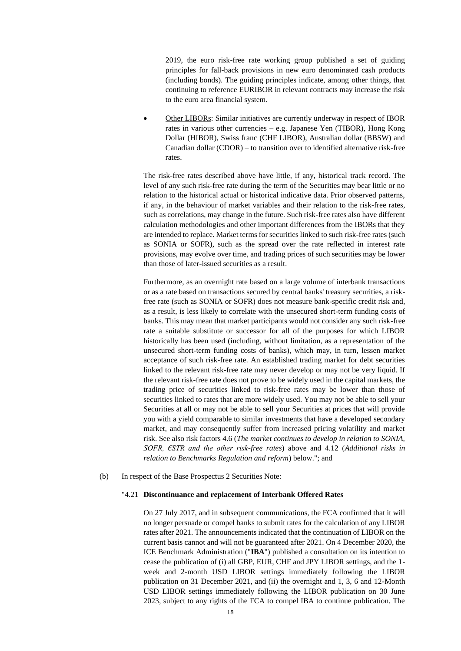2019, the euro risk-free rate working group published a set of guiding principles for fall-back provisions in new euro denominated cash products (including bonds). The guiding principles indicate, among other things, that continuing to reference EURIBOR in relevant contracts may increase the risk to the euro area financial system.

• Other LIBORs: Similar initiatives are currently underway in respect of IBOR rates in various other currencies – e.g. Japanese Yen (TIBOR), Hong Kong Dollar (HIBOR), Swiss franc (CHF LIBOR), Australian dollar (BBSW) and Canadian dollar (CDOR) – to transition over to identified alternative risk-free rates.

The risk-free rates described above have little, if any, historical track record. The level of any such risk-free rate during the term of the Securities may bear little or no relation to the historical actual or historical indicative data. Prior observed patterns, if any, in the behaviour of market variables and their relation to the risk-free rates, such as correlations, may change in the future. Such risk-free rates also have different calculation methodologies and other important differences from the IBORs that they are intended to replace. Market terms for securities linked to such risk-free rates (such as SONIA or SOFR), such as the spread over the rate reflected in interest rate provisions, may evolve over time, and trading prices of such securities may be lower than those of later-issued securities as a result.

Furthermore, as an overnight rate based on a large volume of interbank transactions or as a rate based on transactions secured by central banks' treasury securities, a riskfree rate (such as SONIA or SOFR) does not measure bank-specific credit risk and, as a result, is less likely to correlate with the unsecured short-term funding costs of banks. This may mean that market participants would not consider any such risk-free rate a suitable substitute or successor for all of the purposes for which LIBOR historically has been used (including, without limitation, as a representation of the unsecured short-term funding costs of banks), which may, in turn, lessen market acceptance of such risk-free rate. An established trading market for debt securities linked to the relevant risk-free rate may never develop or may not be very liquid. If the relevant risk-free rate does not prove to be widely used in the capital markets, the trading price of securities linked to risk-free rates may be lower than those of securities linked to rates that are more widely used. You may not be able to sell your Securities at all or may not be able to sell your Securities at prices that will provide you with a yield comparable to similar investments that have a developed secondary market, and may consequently suffer from increased pricing volatility and market risk. See also risk factors 4.6 (*The market continues to develop in relation to SONIA, SOFR, €STR and the other risk-free rates*) above and 4.12 (*Additional risks in relation to Benchmarks Regulation and reform*) below."; and

## (b) In respect of the Base Prospectus 2 Securities Note:

## "4.21 **Discontinuance and replacement of Interbank Offered Rates**

On 27 July 2017, and in subsequent communications, the FCA confirmed that it will no longer persuade or compel banks to submit rates for the calculation of any LIBOR rates after 2021. The announcements indicated that the continuation of LIBOR on the current basis cannot and will not be guaranteed after 2021. On 4 December 2020, the ICE Benchmark Administration ("**IBA**") published a consultation on its intention to cease the publication of (i) all GBP, EUR, CHF and JPY LIBOR settings, and the 1 week and 2-month USD LIBOR settings immediately following the LIBOR publication on 31 December 2021, and (ii) the overnight and 1, 3, 6 and 12-Month USD LIBOR settings immediately following the LIBOR publication on 30 June 2023, subject to any rights of the FCA to compel IBA to continue publication. The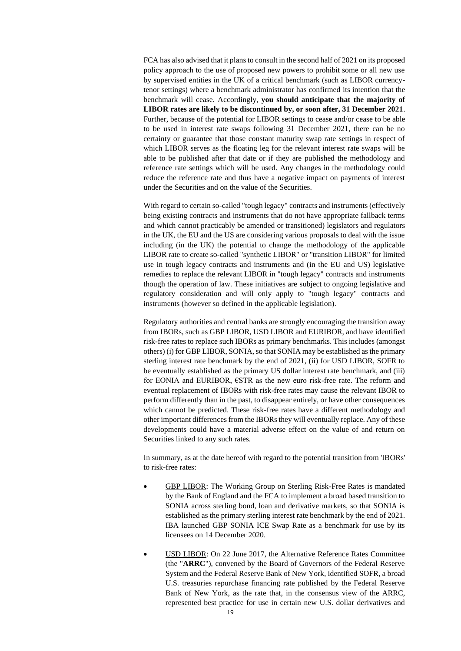FCA has also advised that it plans to consult in the second half of 2021 on its proposed policy approach to the use of proposed new powers to prohibit some or all new use by supervised entities in the UK of a critical benchmark (such as LIBOR currencytenor settings) where a benchmark administrator has confirmed its intention that the benchmark will cease. Accordingly, **you should anticipate that the majority of LIBOR rates are likely to be discontinued by, or soon after, 31 December 2021**. Further, because of the potential for LIBOR settings to cease and/or cease to be able to be used in interest rate swaps following 31 December 2021, there can be no certainty or guarantee that those constant maturity swap rate settings in respect of which LIBOR serves as the floating leg for the relevant interest rate swaps will be able to be published after that date or if they are published the methodology and reference rate settings which will be used. Any changes in the methodology could reduce the reference rate and thus have a negative impact on payments of interest under the Securities and on the value of the Securities.

With regard to certain so-called "tough legacy" contracts and instruments (effectively being existing contracts and instruments that do not have appropriate fallback terms and which cannot practicably be amended or transitioned) legislators and regulators in the UK, the EU and the US are considering various proposals to deal with the issue including (in the UK) the potential to change the methodology of the applicable LIBOR rate to create so-called "synthetic LIBOR" or "transition LIBOR" for limited use in tough legacy contracts and instruments and (in the EU and US) legislative remedies to replace the relevant LIBOR in "tough legacy" contracts and instruments though the operation of law. These initiatives are subject to ongoing legislative and regulatory consideration and will only apply to "tough legacy" contracts and instruments (however so defined in the applicable legislation).

Regulatory authorities and central banks are strongly encouraging the transition away from IBORs, such as GBP LIBOR, USD LIBOR and EURIBOR, and have identified risk-free rates to replace such IBORs as primary benchmarks. This includes (amongst others) (i) for GBP LIBOR, SONIA, so that SONIA may be established as the primary sterling interest rate benchmark by the end of 2021, (ii) for USD LIBOR, SOFR to be eventually established as the primary US dollar interest rate benchmark, and (iii) for EONIA and EURIBOR, €STR as the new euro risk-free rate. The reform and eventual replacement of IBORs with risk-free rates may cause the relevant IBOR to perform differently than in the past, to disappear entirely, or have other consequences which cannot be predicted. These risk-free rates have a different methodology and other important differences from the IBORs they will eventually replace. Any of these developments could have a material adverse effect on the value of and return on Securities linked to any such rates.

In summary, as at the date hereof with regard to the potential transition from 'IBORs' to risk-free rates:

- GBP LIBOR: The Working Group on Sterling Risk-Free Rates is mandated by the Bank of England and the FCA to implement a broad based transition to SONIA across sterling bond, loan and derivative markets, so that SONIA is established as the primary sterling interest rate benchmark by the end of 2021. IBA launched GBP SONIA ICE Swap Rate as a benchmark for use by its licensees on 14 December 2020.
- USD LIBOR: On 22 June 2017, the Alternative Reference Rates Committee (the "**ARRC**"), convened by the Board of Governors of the Federal Reserve System and the Federal Reserve Bank of New York, identified SOFR, a broad U.S. treasuries repurchase financing rate published by the Federal Reserve Bank of New York, as the rate that, in the consensus view of the ARRC, represented best practice for use in certain new U.S. dollar derivatives and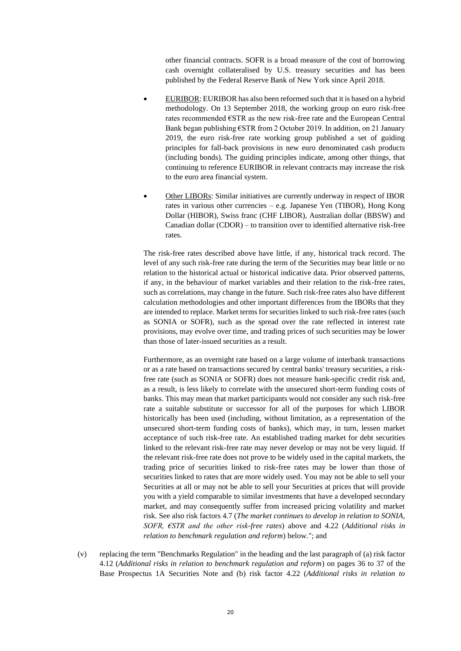other financial contracts. SOFR is a broad measure of the cost of borrowing cash overnight collateralised by U.S. treasury securities and has been published by the Federal Reserve Bank of New York since April 2018.

- EURIBOR: EURIBOR has also been reformed such that it is based on a hybrid methodology. On 13 September 2018, the working group on euro risk-free rates recommended €STR as the new risk-free rate and the European Central Bank began publishing €STR from 2 October 2019. In addition, on 21 January 2019, the euro risk-free rate working group published a set of guiding principles for fall-back provisions in new euro denominated cash products (including bonds). The guiding principles indicate, among other things, that continuing to reference EURIBOR in relevant contracts may increase the risk to the euro area financial system.
- Other LIBORs: Similar initiatives are currently underway in respect of IBOR rates in various other currencies – e.g. Japanese Yen (TIBOR), Hong Kong Dollar (HIBOR), Swiss franc (CHF LIBOR), Australian dollar (BBSW) and Canadian dollar (CDOR) – to transition over to identified alternative risk-free rates.

The risk-free rates described above have little, if any, historical track record. The level of any such risk-free rate during the term of the Securities may bear little or no relation to the historical actual or historical indicative data. Prior observed patterns, if any, in the behaviour of market variables and their relation to the risk-free rates, such as correlations, may change in the future. Such risk-free rates also have different calculation methodologies and other important differences from the IBORs that they are intended to replace. Market terms for securities linked to such risk-free rates (such as SONIA or SOFR), such as the spread over the rate reflected in interest rate provisions, may evolve over time, and trading prices of such securities may be lower than those of later-issued securities as a result.

Furthermore, as an overnight rate based on a large volume of interbank transactions or as a rate based on transactions secured by central banks' treasury securities, a riskfree rate (such as SONIA or SOFR) does not measure bank-specific credit risk and, as a result, is less likely to correlate with the unsecured short-term funding costs of banks. This may mean that market participants would not consider any such risk-free rate a suitable substitute or successor for all of the purposes for which LIBOR historically has been used (including, without limitation, as a representation of the unsecured short-term funding costs of banks), which may, in turn, lessen market acceptance of such risk-free rate. An established trading market for debt securities linked to the relevant risk-free rate may never develop or may not be very liquid. If the relevant risk-free rate does not prove to be widely used in the capital markets, the trading price of securities linked to risk-free rates may be lower than those of securities linked to rates that are more widely used. You may not be able to sell your Securities at all or may not be able to sell your Securities at prices that will provide you with a yield comparable to similar investments that have a developed secondary market, and may consequently suffer from increased pricing volatility and market risk. See also risk factors 4.7 (*The market continues to develop in relation to SONIA, SOFR, €STR and the other risk-free rates*) above and 4.22 (*Additional risks in relation to benchmark regulation and reform*) below."; and

(v) replacing the term "Benchmarks Regulation" in the heading and the last paragraph of (a) risk factor 4.12 (*Additional risks in relation to benchmark regulation and reform*) on pages 36 to 37 of the Base Prospectus 1A Securities Note and (b) risk factor 4.22 (*Additional risks in relation to*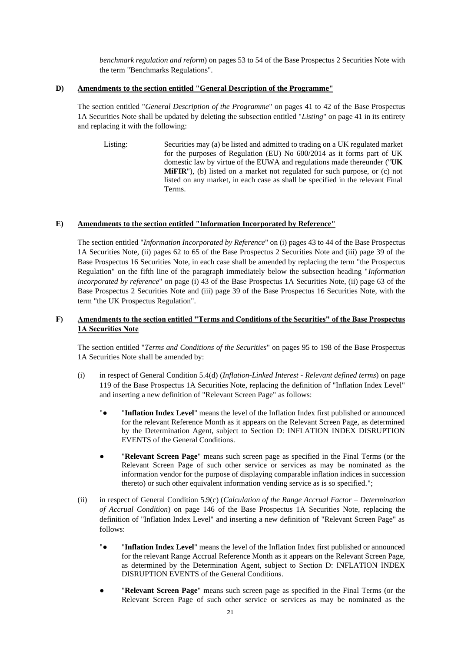*benchmark regulation and reform*) on pages 53 to 54 of the Base Prospectus 2 Securities Note with the term "Benchmarks Regulations".

# **D) Amendments to the section entitled "General Description of the Programme"**

The section entitled "*General Description of the Programme*" on pages 41 to 42 of the Base Prospectus 1A Securities Note shall be updated by deleting the subsection entitled "*Listing*" on page 41 in its entirety and replacing it with the following:

Listing: Securities may (a) be listed and admitted to trading on a UK regulated market for the purposes of Regulation (EU) No 600/2014 as it forms part of UK domestic law by virtue of the EUWA and regulations made thereunder ("**UK MIFIR**"), (b) listed on a market not regulated for such purpose, or (c) not listed on any market, in each case as shall be specified in the relevant Final Terms.

# **E) Amendments to the section entitled "Information Incorporated by Reference"**

The section entitled "*Information Incorporated by Reference*" on (i) pages 43 to 44 of the Base Prospectus 1A Securities Note, (ii) pages 62 to 65 of the Base Prospectus 2 Securities Note and (iii) page 39 of the Base Prospectus 16 Securities Note, in each case shall be amended by replacing the term "the Prospectus Regulation" on the fifth line of the paragraph immediately below the subsection heading "*Information incorporated by reference*" on page (i) 43 of the Base Prospectus 1A Securities Note, (ii) page 63 of the Base Prospectus 2 Securities Note and (iii) page 39 of the Base Prospectus 16 Securities Note, with the term "the UK Prospectus Regulation".

# **F) Amendments to the section entitled "Terms and Conditions of the Securities" of the Base Prospectus 1A Securities Note**

The section entitled "*Terms and Conditions of the Securities*" on pages 95 to 198 of the Base Prospectus 1A Securities Note shall be amended by:

- (i) in respect of General Condition 5.4(d) (*Inflation-Linked Interest - Relevant defined terms*) on page 119 of the Base Prospectus 1A Securities Note, replacing the definition of "Inflation Index Level" and inserting a new definition of "Relevant Screen Page" as follows:
	- "● "**Inflation Index Level**" means the level of the Inflation Index first published or announced for the relevant Reference Month as it appears on the Relevant Screen Page, as determined by the Determination Agent, subject to Section D: INFLATION INDEX DISRUPTION EVENTS of the General Conditions.
	- "Relevant Screen Page" means such screen page as specified in the Final Terms (or the Relevant Screen Page of such other service or services as may be nominated as the information vendor for the purpose of displaying comparable inflation indices in succession thereto) or such other equivalent information vending service as is so specified.";
- (ii) in respect of General Condition 5.9(c) (*Calculation of the Range Accrual Factor – Determination of Accrual Condition*) on page 146 of the Base Prospectus 1A Securities Note, replacing the definition of "Inflation Index Level" and inserting a new definition of "Relevant Screen Page" as follows:
	- "● "**Inflation Index Level**" means the level of the Inflation Index first published or announced for the relevant Range Accrual Reference Month as it appears on the Relevant Screen Page, as determined by the Determination Agent, subject to Section D: INFLATION INDEX DISRUPTION EVENTS of the General Conditions.
	- **"Relevant Screen Page"** means such screen page as specified in the Final Terms (or the Relevant Screen Page of such other service or services as may be nominated as the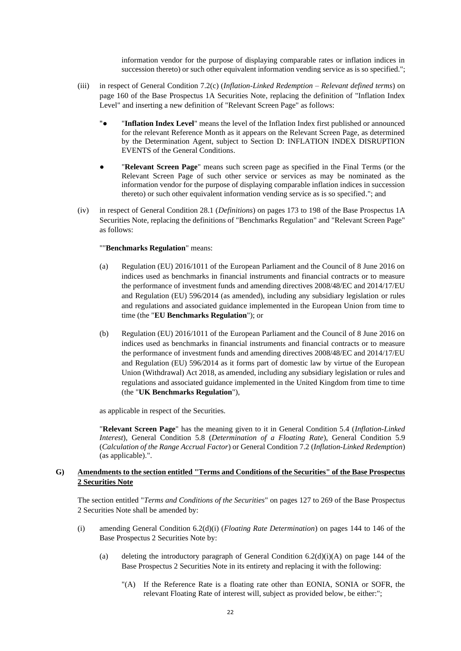information vendor for the purpose of displaying comparable rates or inflation indices in succession thereto) or such other equivalent information vending service as is so specified.";

- (iii) in respect of General Condition 7.2(c) (*Inflation-Linked Redemption – Relevant defined terms*) on page 160 of the Base Prospectus 1A Securities Note, replacing the definition of "Inflation Index Level" and inserting a new definition of "Relevant Screen Page" as follows:
	- "● "**Inflation Index Level**" means the level of the Inflation Index first published or announced for the relevant Reference Month as it appears on the Relevant Screen Page, as determined by the Determination Agent, subject to Section D: INFLATION INDEX DISRUPTION EVENTS of the General Conditions.
	- **"Relevant Screen Page"** means such screen page as specified in the Final Terms (or the Relevant Screen Page of such other service or services as may be nominated as the information vendor for the purpose of displaying comparable inflation indices in succession thereto) or such other equivalent information vending service as is so specified."; and
- (iv) in respect of General Condition 28.1 (*Definitions*) on pages 173 to 198 of the Base Prospectus 1A Securities Note, replacing the definitions of "Benchmarks Regulation" and "Relevant Screen Page" as follows:

#### ""**Benchmarks Regulation**" means:

- (a) Regulation (EU) 2016/1011 of the European Parliament and the Council of 8 June 2016 on indices used as benchmarks in financial instruments and financial contracts or to measure the performance of investment funds and amending directives 2008/48/EC and 2014/17/EU and Regulation (EU) 596/2014 (as amended), including any subsidiary legislation or rules and regulations and associated guidance implemented in the European Union from time to time (the "**EU Benchmarks Regulation**"); or
- (b) Regulation (EU) 2016/1011 of the European Parliament and the Council of 8 June 2016 on indices used as benchmarks in financial instruments and financial contracts or to measure the performance of investment funds and amending directives 2008/48/EC and 2014/17/EU and Regulation (EU) 596/2014 as it forms part of domestic law by virtue of the European Union (Withdrawal) Act 2018, as amended, including any subsidiary legislation or rules and regulations and associated guidance implemented in the United Kingdom from time to time (the "**UK Benchmarks Regulation**"),

as applicable in respect of the Securities.

"**Relevant Screen Page**" has the meaning given to it in General Condition 5.4 (*Inflation-Linked Interest*), General Condition 5.8 (*Determination of a Floating Rate*), General Condition 5.9 (*Calculation of the Range Accrual Factor*) or General Condition 7.2 (*Inflation-Linked Redemption*) (as applicable).".

# **G) Amendments to the section entitled "Terms and Conditions of the Securities" of the Base Prospectus 2 Securities Note**

The section entitled "*Terms and Conditions of the Securities*" on pages 127 to 269 of the Base Prospectus 2 Securities Note shall be amended by:

- (i) amending General Condition 6.2(d)(i) (*Floating Rate Determination*) on pages 144 to 146 of the Base Prospectus 2 Securities Note by:
	- (a) deleting the introductory paragraph of General Condition  $6.2(d)(i)(A)$  on page 144 of the Base Prospectus 2 Securities Note in its entirety and replacing it with the following:
		- "(A) If the Reference Rate is a floating rate other than EONIA, SONIA or SOFR, the relevant Floating Rate of interest will, subject as provided below, be either:";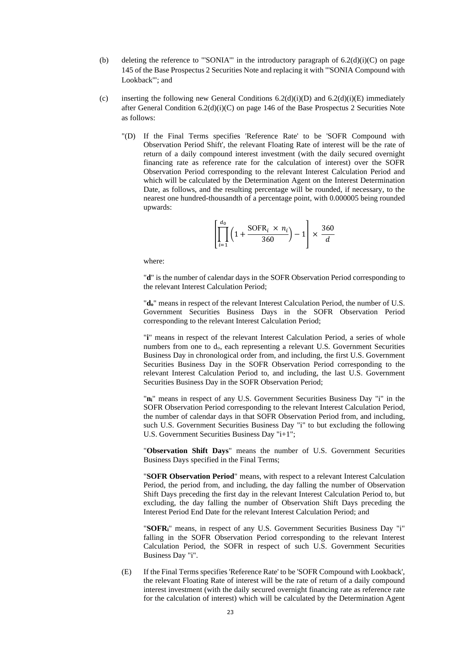- (b) deleting the reference to "'SONIA'" in the introductory paragraph of  $6.2(d)(i)(C)$  on page 145 of the Base Prospectus 2 Securities Note and replacing it with "'SONIA Compound with Lookback'"; and
- (c) inserting the following new General Conditions  $6.2(d)(i)(D)$  and  $6.2(d)(i)(E)$  immediately after General Condition  $6.2(d)(i)(C)$  on page 146 of the Base Prospectus 2 Securities Note as follows:
	- "(D) If the Final Terms specifies 'Reference Rate' to be 'SOFR Compound with Observation Period Shift', the relevant Floating Rate of interest will be the rate of return of a daily compound interest investment (with the daily secured overnight financing rate as reference rate for the calculation of interest) over the SOFR Observation Period corresponding to the relevant Interest Calculation Period and which will be calculated by the Determination Agent on the Interest Determination Date, as follows, and the resulting percentage will be rounded, if necessary, to the nearest one hundred-thousandth of a percentage point, with 0.000005 being rounded upwards:

$$
\left[\prod_{i=1}^{d_0} \left(1 + \frac{\text{SOFR}_i \times n_i}{360}\right) - 1\right] \times \frac{360}{d}
$$

where:

"**d**" is the number of calendar days in the SOFR Observation Period corresponding to the relevant Interest Calculation Period;

"**do**" means in respect of the relevant Interest Calculation Period, the number of U.S. Government Securities Business Days in the SOFR Observation Period corresponding to the relevant Interest Calculation Period;

"**i**" means in respect of the relevant Interest Calculation Period, a series of whole numbers from one to d<sub>o</sub>, each representing a relevant U.S. Government Securities Business Day in chronological order from, and including, the first U.S. Government Securities Business Day in the SOFR Observation Period corresponding to the relevant Interest Calculation Period to, and including, the last U.S. Government Securities Business Day in the SOFR Observation Period;

"**ni**" means in respect of any U.S. Government Securities Business Day "i" in the SOFR Observation Period corresponding to the relevant Interest Calculation Period, the number of calendar days in that SOFR Observation Period from, and including, such U.S. Government Securities Business Day "i" to but excluding the following U.S. Government Securities Business Day "i+1";

"**Observation Shift Days**" means the number of U.S. Government Securities Business Days specified in the Final Terms;

"**SOFR Observation Period**" means, with respect to a relevant Interest Calculation Period, the period from, and including, the day falling the number of Observation Shift Days preceding the first day in the relevant Interest Calculation Period to, but excluding, the day falling the number of Observation Shift Days preceding the Interest Period End Date for the relevant Interest Calculation Period; and

"**SOFRi**" means, in respect of any U.S. Government Securities Business Day "i" falling in the SOFR Observation Period corresponding to the relevant Interest Calculation Period, the SOFR in respect of such U.S. Government Securities Business Day "i".

(E) If the Final Terms specifies 'Reference Rate' to be 'SOFR Compound with Lookback', the relevant Floating Rate of interest will be the rate of return of a daily compound interest investment (with the daily secured overnight financing rate as reference rate for the calculation of interest) which will be calculated by the Determination Agent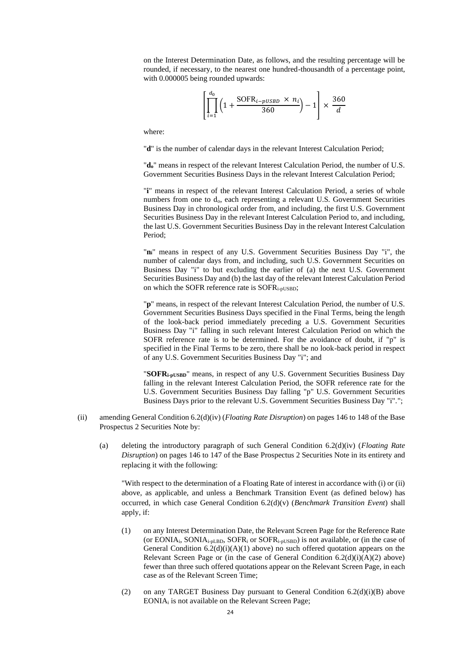on the Interest Determination Date, as follows, and the resulting percentage will be rounded, if necessary, to the nearest one hundred-thousandth of a percentage point, with 0.000005 being rounded upwards:

$$
\left[\prod_{i=1}^{d_0} \left(1 + \frac{\text{SOFR}_{i-pUSBD} \times n_i}{360}\right) - 1\right] \times \frac{360}{d}
$$

where:

"**d**" is the number of calendar days in the relevant Interest Calculation Period;

"**do**" means in respect of the relevant Interest Calculation Period, the number of U.S. Government Securities Business Days in the relevant Interest Calculation Period;

"**i**" means in respect of the relevant Interest Calculation Period, a series of whole numbers from one to do, each representing a relevant U.S. Government Securities Business Day in chronological order from, and including, the first U.S. Government Securities Business Day in the relevant Interest Calculation Period to, and including, the last U.S. Government Securities Business Day in the relevant Interest Calculation Period;

"**ni**" means in respect of any U.S. Government Securities Business Day "i", the number of calendar days from, and including, such U.S. Government Securities on Business Day "i" to but excluding the earlier of (a) the next U.S. Government Securities Business Day and (b) the last day of the relevant Interest Calculation Period on which the SOFR reference rate is SOFRi-pUSBD;

"**p**" means, in respect of the relevant Interest Calculation Period, the number of U.S. Government Securities Business Days specified in the Final Terms, being the length of the look-back period immediately preceding a U.S. Government Securities Business Day "i" falling in such relevant Interest Calculation Period on which the SOFR reference rate is to be determined. For the avoidance of doubt, if "p" is specified in the Final Terms to be zero, there shall be no look-back period in respect of any U.S. Government Securities Business Day "i"; and

"**SOFRi-pUSBD**" means, in respect of any U.S. Government Securities Business Day falling in the relevant Interest Calculation Period, the SOFR reference rate for the U.S. Government Securities Business Day falling "p" U.S. Government Securities Business Days prior to the relevant U.S. Government Securities Business Day "i".";

- (ii) amending General Condition 6.2(d)(iv) (*Floating Rate Disruption*) on pages 146 to 148 of the Base Prospectus 2 Securities Note by:
	- (a) deleting the introductory paragraph of such General Condition 6.2(d)(iv) (*Floating Rate Disruption*) on pages 146 to 147 of the Base Prospectus 2 Securities Note in its entirety and replacing it with the following:

"With respect to the determination of a Floating Rate of interest in accordance with (i) or (ii) above, as applicable, and unless a Benchmark Transition Event (as defined below) has occurred, in which case General Condition 6.2(d)(v) (*Benchmark Transition Event*) shall apply, if:

- (1) on any Interest Determination Date, the Relevant Screen Page for the Reference Rate (or EONIAi, SONIAi-pLBD, SOFR<sup>i</sup> or SOFRi-pUSBD) is not available, or (in the case of General Condition  $6.2(d)(i)(A)(1)$  above) no such offered quotation appears on the Relevant Screen Page or (in the case of General Condition  $6.2(d)(i)(A)(2)$  above) fewer than three such offered quotations appear on the Relevant Screen Page, in each case as of the Relevant Screen Time;
- (2) on any TARGET Business Day pursuant to General Condition  $6.2(d)(i)(B)$  above EONIA<sup>i</sup> is not available on the Relevant Screen Page;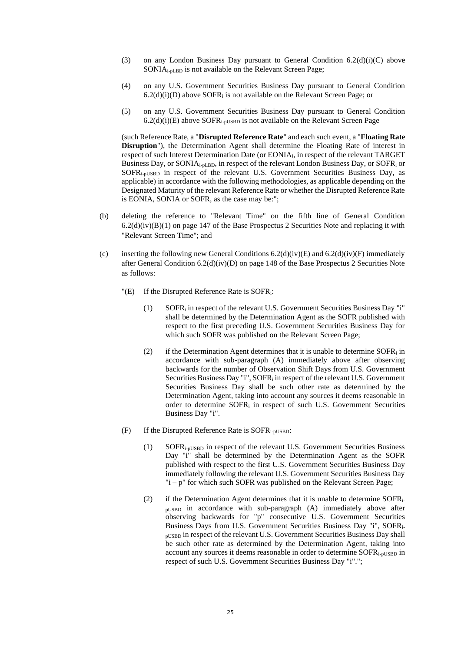- (3) on any London Business Day pursuant to General Condition  $6.2(d)(i)(C)$  above SONIAi-pLBD is not available on the Relevant Screen Page;
- (4) on any U.S. Government Securities Business Day pursuant to General Condition  $6.2(d)(i)(D)$  above SOFR<sub>i</sub> is not available on the Relevant Screen Page; or
- (5) on any U.S. Government Securities Business Day pursuant to General Condition  $6.2(d)(i)(E)$  above SOFR<sub>i-pUSBD</sub> is not available on the Relevant Screen Page

(such Reference Rate, a "**Disrupted Reference Rate**" and each such event, a "**Floating Rate Disruption**"), the Determination Agent shall determine the Floating Rate of interest in respect of such Interest Determination Date (or EONIAi, in respect of the relevant TARGET Business Day, or SONIA<sub>i-pLBD</sub>, in respect of the relevant London Business Day, or SOFR<sub>i</sub> or SOFRi-pUSBD in respect of the relevant U.S. Government Securities Business Day, as applicable) in accordance with the following methodologies, as applicable depending on the Designated Maturity of the relevant Reference Rate or whether the Disrupted Reference Rate is EONIA, SONIA or SOFR, as the case may be:";

- (b) deleting the reference to "Relevant Time" on the fifth line of General Condition  $6.2(d)(iv)(B)(1)$  on page 147 of the Base Prospectus 2 Securities Note and replacing it with "Relevant Screen Time"; and
- (c) inserting the following new General Conditions  $6.2(d)(iv)(E)$  and  $6.2(d)(iv)(F)$  immediately after General Condition 6.2(d)(iv)(D) on page 148 of the Base Prospectus 2 Securities Note as follows:
	- "(E) If the Disrupted Reference Rate is SOFRi:
		- (1) SOFR<sup>i</sup> in respect of the relevant U.S. Government Securities Business Day "i" shall be determined by the Determination Agent as the SOFR published with respect to the first preceding U.S. Government Securities Business Day for which such SOFR was published on the Relevant Screen Page;
		- (2) if the Determination Agent determines that it is unable to determine  $SOFR<sub>i</sub>$  in accordance with sub-paragraph (A) immediately above after observing backwards for the number of Observation Shift Days from U.S. Government Securities Business Day "i", SOFR<sub>i</sub> in respect of the relevant U.S. Government Securities Business Day shall be such other rate as determined by the Determination Agent, taking into account any sources it deems reasonable in order to determine SOFR<sup>i</sup> in respect of such U.S. Government Securities Business Day "i".
	- (F) If the Disrupted Reference Rate is SOFRi-pUSBD:
		- (1) SOFRi-pUSBD in respect of the relevant U.S. Government Securities Business Day "i" shall be determined by the Determination Agent as the SOFR published with respect to the first U.S. Government Securities Business Day immediately following the relevant U.S. Government Securities Business Day "i – p" for which such SOFR was published on the Relevant Screen Page;
		- (2) if the Determination Agent determines that it is unable to determine  $SOFR_i$ . pUSBD in accordance with sub-paragraph (A) immediately above after observing backwards for "p" consecutive U.S. Government Securities Business Days from U.S. Government Securities Business Day "i", SOFRipUSBD in respect of the relevant U.S. Government Securities Business Day shall be such other rate as determined by the Determination Agent, taking into account any sources it deems reasonable in order to determine SOFRi-pUSBD in respect of such U.S. Government Securities Business Day "i".";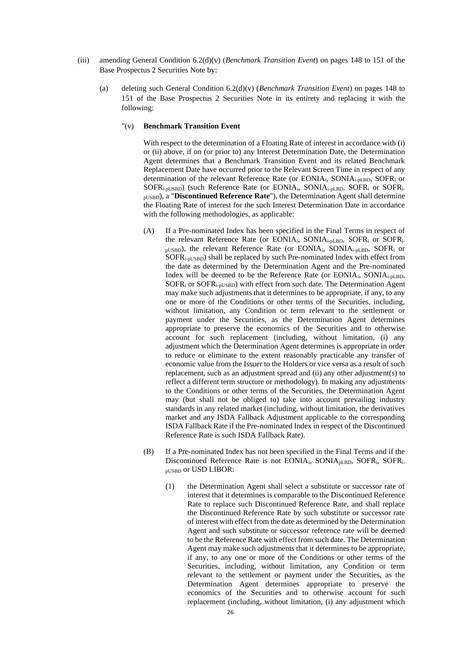- (iii) amending General Condition 6.2(d)(v) (*Benchmark Transition Event*) on pages 148 to 151 of the Base Prospectus 2 Securities Note by:
	- (a) deleting such General Condition 6.2(d)(v) (*Benchmark Transition Event*) on pages 148 to 151 of the Base Prospectus 2 Securities Note in its entirety and replacing it with the following:

# "(v) **Benchmark Transition Event**

With respect to the determination of a Floating Rate of interest in accordance with (i) or (ii) above, if on (or prior to) any Interest Determination Date, the Determination Agent determines that a Benchmark Transition Event and its related Benchmark Replacement Date have occurred prior to the Relevant Screen Time in respect of any determination of the relevant Reference Rate (or EONIA<sub>i</sub>, SONIA<sub>i-pLBD</sub>, SOFR<sub>i</sub> or SOFRi-pUSBD) (such Reference Rate (or EONIAi, SONIAi-pLBD, SOFR<sup>i</sup> or SOFRipUSBD), a "**Discontinued Reference Rate**"), the Determination Agent shall determine the Floating Rate of interest for the such Interest Determination Date in accordance with the following methodologies, as applicable:

- (A) If a Pre-nominated Index has been specified in the Final Terms in respect of the relevant Reference Rate (or EONIAi, SONIAi-pLBD, SOFR<sup>i</sup> or SOFRipUSBD), the relevant Reference Rate (or EONIAi, SONIAi-pLBD, SOFR<sup>i</sup> or SOFRi-pUSBD) shall be replaced by such Pre-nominated Index with effect from the date as determined by the Determination Agent and the Pre-nominated Index will be deemed to be the Reference Rate (or EONIA<sub>i</sub>, SONIA<sub>i-pLBD</sub>, SOFR<sup>i</sup> or SOFRi-pUSBD) with effect from such date. The Determination Agent may make such adjustments that it determines to be appropriate, if any, to any one or more of the Conditions or other terms of the Securities, including, without limitation, any Condition or term relevant to the settlement or payment under the Securities, as the Determination Agent determines appropriate to preserve the economics of the Securities and to otherwise account for such replacement (including, without limitation, (i) any adjustment which the Determination Agent determines is appropriate in order to reduce or eliminate to the extent reasonably practicable any transfer of economic value from the Issuer to the Holders or vice versa as a result of such replacement, such as an adjustment spread and (ii) any other adjustment(s) to reflect a different term structure or methodology). In making any adjustments to the Conditions or other terms of the Securities, the Determination Agent may (but shall not be obliged to) take into account prevailing industry standards in any related market (including, without limitation, the derivatives market and any ISDA Fallback Adjustment applicable to the corresponding ISDA Fallback Rate if the Pre-nominated Index in respect of the Discontinued Reference Rate is such ISDA Fallback Rate).
- (B) If a Pre-nominated Index has not been specified in the Final Terms and if the Discontinued Reference Rate is not EONIA<sub>i</sub>, SONIA<sub>pLBD</sub>, SOFR<sub>i</sub>, SOFR<sub>i-</sub> pUSBD or USD LIBOR:
	- (1) the Determination Agent shall select a substitute or successor rate of interest that it determines is comparable to the Discontinued Reference Rate to replace such Discontinued Reference Rate, and shall replace the Discontinued Reference Rate by such substitute or successor rate of interest with effect from the date as determined by the Determination Agent and such substitute or successor reference rate will be deemed to be the Reference Rate with effect from such date. The Determination Agent may make such adjustments that it determines to be appropriate, if any, to any one or more of the Conditions or other terms of the Securities, including, without limitation, any Condition or term relevant to the settlement or payment under the Securities, as the Determination Agent determines appropriate to preserve the economics of the Securities and to otherwise account for such replacement (including, without limitation, (i) any adjustment which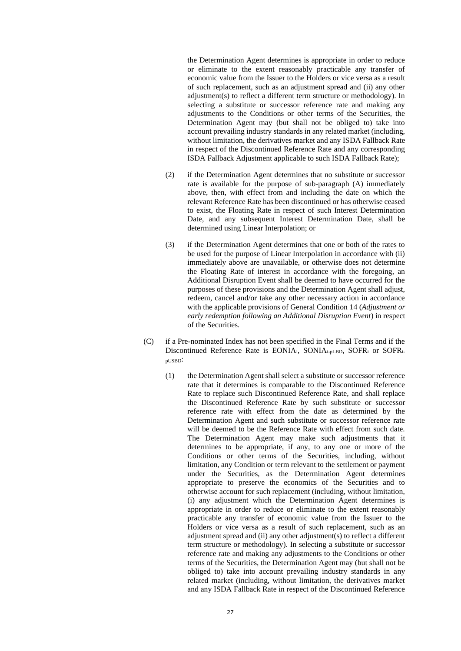the Determination Agent determines is appropriate in order to reduce or eliminate to the extent reasonably practicable any transfer of economic value from the Issuer to the Holders or vice versa as a result of such replacement, such as an adjustment spread and (ii) any other adjustment(s) to reflect a different term structure or methodology). In selecting a substitute or successor reference rate and making any adjustments to the Conditions or other terms of the Securities, the Determination Agent may (but shall not be obliged to) take into account prevailing industry standards in any related market (including, without limitation, the derivatives market and any ISDA Fallback Rate in respect of the Discontinued Reference Rate and any corresponding ISDA Fallback Adjustment applicable to such ISDA Fallback Rate);

- (2) if the Determination Agent determines that no substitute or successor rate is available for the purpose of sub-paragraph (A) immediately above, then, with effect from and including the date on which the relevant Reference Rate has been discontinued or has otherwise ceased to exist, the Floating Rate in respect of such Interest Determination Date, and any subsequent Interest Determination Date, shall be determined using Linear Interpolation; or
- (3) if the Determination Agent determines that one or both of the rates to be used for the purpose of Linear Interpolation in accordance with (ii) immediately above are unavailable, or otherwise does not determine the Floating Rate of interest in accordance with the foregoing, an Additional Disruption Event shall be deemed to have occurred for the purposes of these provisions and the Determination Agent shall adjust, redeem, cancel and/or take any other necessary action in accordance with the applicable provisions of General Condition 14 (*Adjustment or early redemption following an Additional Disruption Event*) in respect of the Securities.
- (C) if a Pre-nominated Index has not been specified in the Final Terms and if the Discontinued Reference Rate is EONIA<sub>i</sub>, SONIA<sub>i-pLBD</sub>, SOFR<sub>i</sub> or SOFR<sub>i-</sub> pUSBD:
	- (1) the Determination Agent shall select a substitute or successor reference rate that it determines is comparable to the Discontinued Reference Rate to replace such Discontinued Reference Rate, and shall replace the Discontinued Reference Rate by such substitute or successor reference rate with effect from the date as determined by the Determination Agent and such substitute or successor reference rate will be deemed to be the Reference Rate with effect from such date. The Determination Agent may make such adjustments that it determines to be appropriate, if any, to any one or more of the Conditions or other terms of the Securities, including, without limitation, any Condition or term relevant to the settlement or payment under the Securities, as the Determination Agent determines appropriate to preserve the economics of the Securities and to otherwise account for such replacement (including, without limitation, (i) any adjustment which the Determination Agent determines is appropriate in order to reduce or eliminate to the extent reasonably practicable any transfer of economic value from the Issuer to the Holders or vice versa as a result of such replacement, such as an adjustment spread and (ii) any other adjustment(s) to reflect a different term structure or methodology). In selecting a substitute or successor reference rate and making any adjustments to the Conditions or other terms of the Securities, the Determination Agent may (but shall not be obliged to) take into account prevailing industry standards in any related market (including, without limitation, the derivatives market and any ISDA Fallback Rate in respect of the Discontinued Reference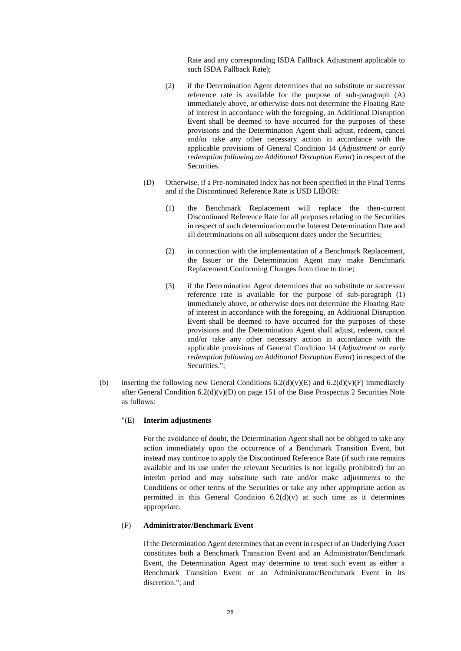Rate and any corresponding ISDA Fallback Adjustment applicable to such ISDA Fallback Rate);

- (2) if the Determination Agent determines that no substitute or successor reference rate is available for the purpose of sub-paragraph (A) immediately above, or otherwise does not determine the Floating Rate of interest in accordance with the foregoing, an Additional Disruption Event shall be deemed to have occurred for the purposes of these provisions and the Determination Agent shall adjust, redeem, cancel and/or take any other necessary action in accordance with the applicable provisions of General Condition 14 (*Adjustment or early redemption following an Additional Disruption Event*) in respect of the Securities.
- (D) Otherwise, if a Pre-nominated Index has not been specified in the Final Terms and if the Discontinued Reference Rate is USD LIBOR:
	- (1) the Benchmark Replacement will replace the then-current Discontinued Reference Rate for all purposes relating to the Securities in respect of such determination on the Interest Determination Date and all determinations on all subsequent dates under the Securities;
	- (2) in connection with the implementation of a Benchmark Replacement, the Issuer or the Determination Agent may make Benchmark Replacement Conforming Changes from time to time;
	- (3) if the Determination Agent determines that no substitute or successor reference rate is available for the purpose of sub-paragraph (1) immediately above, or otherwise does not determine the Floating Rate of interest in accordance with the foregoing, an Additional Disruption Event shall be deemed to have occurred for the purposes of these provisions and the Determination Agent shall adjust, redeem, cancel and/or take any other necessary action in accordance with the applicable provisions of General Condition 14 (*Adjustment or early redemption following an Additional Disruption Event*) in respect of the Securities.";
- (b) inserting the following new General Conditions  $6.2(d)(v)(E)$  and  $6.2(d)(v)(F)$  immediately after General Condition 6.2(d)(v)(D) on page 151 of the Base Prospectus 2 Securities Note as follows:

# "(E) **Interim adjustments**

For the avoidance of doubt, the Determination Agent shall not be obliged to take any action immediately upon the occurrence of a Benchmark Transition Event, but instead may continue to apply the Discontinued Reference Rate (if such rate remains available and its use under the relevant Securities is not legally prohibited) for an interim period and may substitute such rate and/or make adjustments to the Conditions or other terms of the Securities or take any other appropriate action as permitted in this General Condition  $6.2(d)(v)$  at such time as it determines appropriate.

## (F) **Administrator/Benchmark Event**

If the Determination Agent determines that an event in respect of an Underlying Asset constitutes both a Benchmark Transition Event and an Administrator/Benchmark Event, the Determination Agent may determine to treat such event as either a Benchmark Transition Event or an Administrator/Benchmark Event in its discretion."; and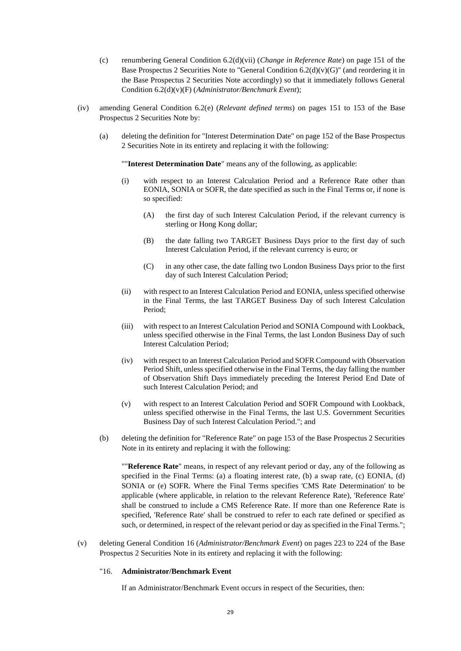- (c) renumbering General Condition 6.2(d)(vii) (*Change in Reference Rate*) on page 151 of the Base Prospectus 2 Securities Note to "General Condition 6.2(d)(v)(G)" (and reordering it in the Base Prospectus 2 Securities Note accordingly) so that it immediately follows General Condition 6.2(d)(v)(F) (*Administrator/Benchmark Event*);
- (iv) amending General Condition 6.2(e) (*Relevant defined terms*) on pages 151 to 153 of the Base Prospectus 2 Securities Note by:
	- (a) deleting the definition for "Interest Determination Date" on page 152 of the Base Prospectus 2 Securities Note in its entirety and replacing it with the following:

""**Interest Determination Date**" means any of the following, as applicable:

- (i) with respect to an Interest Calculation Period and a Reference Rate other than EONIA, SONIA or SOFR, the date specified as such in the Final Terms or, if none is so specified:
	- (A) the first day of such Interest Calculation Period, if the relevant currency is sterling or Hong Kong dollar;
	- (B) the date falling two TARGET Business Days prior to the first day of such Interest Calculation Period, if the relevant currency is euro; or
	- (C) in any other case, the date falling two London Business Days prior to the first day of such Interest Calculation Period;
- (ii) with respect to an Interest Calculation Period and EONIA, unless specified otherwise in the Final Terms, the last TARGET Business Day of such Interest Calculation Period;
- (iii) with respect to an Interest Calculation Period and SONIA Compound with Lookback, unless specified otherwise in the Final Terms, the last London Business Day of such Interest Calculation Period;
- (iv) with respect to an Interest Calculation Period and SOFR Compound with Observation Period Shift, unless specified otherwise in the Final Terms, the day falling the number of Observation Shift Days immediately preceding the Interest Period End Date of such Interest Calculation Period; and
- (v) with respect to an Interest Calculation Period and SOFR Compound with Lookback, unless specified otherwise in the Final Terms, the last U.S. Government Securities Business Day of such Interest Calculation Period."; and
- (b) deleting the definition for "Reference Rate" on page 153 of the Base Prospectus 2 Securities Note in its entirety and replacing it with the following:

""**Reference Rate**" means, in respect of any relevant period or day, any of the following as specified in the Final Terms: (a) a floating interest rate, (b) a swap rate, (c) EONIA, (d) SONIA or (e) SOFR. Where the Final Terms specifies 'CMS Rate Determination' to be applicable (where applicable, in relation to the relevant Reference Rate), 'Reference Rate' shall be construed to include a CMS Reference Rate. If more than one Reference Rate is specified, 'Reference Rate' shall be construed to refer to each rate defined or specified as such, or determined, in respect of the relevant period or day as specified in the Final Terms.";

(v) deleting General Condition 16 (*Administrator/Benchmark Event*) on pages 223 to 224 of the Base Prospectus 2 Securities Note in its entirety and replacing it with the following:

# "16. **Administrator/Benchmark Event**

If an Administrator/Benchmark Event occurs in respect of the Securities, then: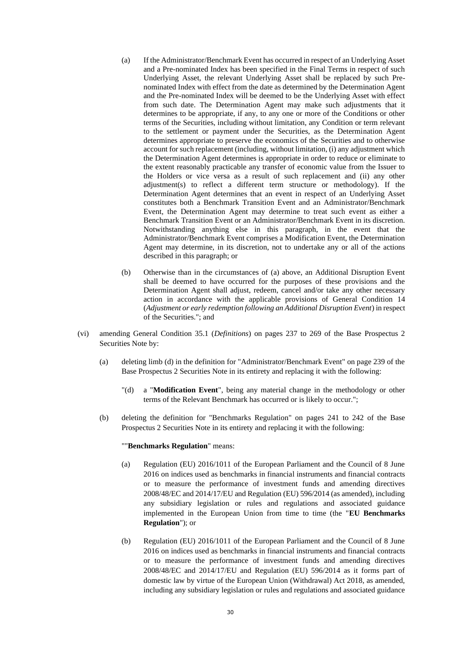- (a) If the Administrator/Benchmark Event has occurred in respect of an Underlying Asset and a Pre-nominated Index has been specified in the Final Terms in respect of such Underlying Asset, the relevant Underlying Asset shall be replaced by such Prenominated Index with effect from the date as determined by the Determination Agent and the Pre-nominated Index will be deemed to be the Underlying Asset with effect from such date. The Determination Agent may make such adjustments that it determines to be appropriate, if any, to any one or more of the Conditions or other terms of the Securities, including without limitation, any Condition or term relevant to the settlement or payment under the Securities, as the Determination Agent determines appropriate to preserve the economics of the Securities and to otherwise account for such replacement (including, without limitation, (i) any adjustment which the Determination Agent determines is appropriate in order to reduce or eliminate to the extent reasonably practicable any transfer of economic value from the Issuer to the Holders or vice versa as a result of such replacement and (ii) any other adjustment(s) to reflect a different term structure or methodology). If the Determination Agent determines that an event in respect of an Underlying Asset constitutes both a Benchmark Transition Event and an Administrator/Benchmark Event, the Determination Agent may determine to treat such event as either a Benchmark Transition Event or an Administrator/Benchmark Event in its discretion. Notwithstanding anything else in this paragraph, in the event that the Administrator/Benchmark Event comprises a Modification Event, the Determination Agent may determine, in its discretion, not to undertake any or all of the actions described in this paragraph; or
- (b) Otherwise than in the circumstances of (a) above, an Additional Disruption Event shall be deemed to have occurred for the purposes of these provisions and the Determination Agent shall adjust, redeem, cancel and/or take any other necessary action in accordance with the applicable provisions of General Condition 14 (*Adjustment or early redemption following an Additional Disruption Event*) in respect of the Securities."; and
- (vi) amending General Condition 35.1 (*Definitions*) on pages 237 to 269 of the Base Prospectus 2 Securities Note by:
	- (a) deleting limb (d) in the definition for "Administrator/Benchmark Event" on page 239 of the Base Prospectus 2 Securities Note in its entirety and replacing it with the following:
		- "(d) a "**Modification Event**", being any material change in the methodology or other terms of the Relevant Benchmark has occurred or is likely to occur.";
	- (b) deleting the definition for "Benchmarks Regulation" on pages 241 to 242 of the Base Prospectus 2 Securities Note in its entirety and replacing it with the following:

# ""**Benchmarks Regulation**" means:

- (a) Regulation (EU) 2016/1011 of the European Parliament and the Council of 8 June 2016 on indices used as benchmarks in financial instruments and financial contracts or to measure the performance of investment funds and amending directives 2008/48/EC and 2014/17/EU and Regulation (EU) 596/2014 (as amended), including any subsidiary legislation or rules and regulations and associated guidance implemented in the European Union from time to time (the "**EU Benchmarks Regulation**"); or
- (b) Regulation (EU) 2016/1011 of the European Parliament and the Council of 8 June 2016 on indices used as benchmarks in financial instruments and financial contracts or to measure the performance of investment funds and amending directives 2008/48/EC and 2014/17/EU and Regulation (EU) 596/2014 as it forms part of domestic law by virtue of the European Union (Withdrawal) Act 2018, as amended, including any subsidiary legislation or rules and regulations and associated guidance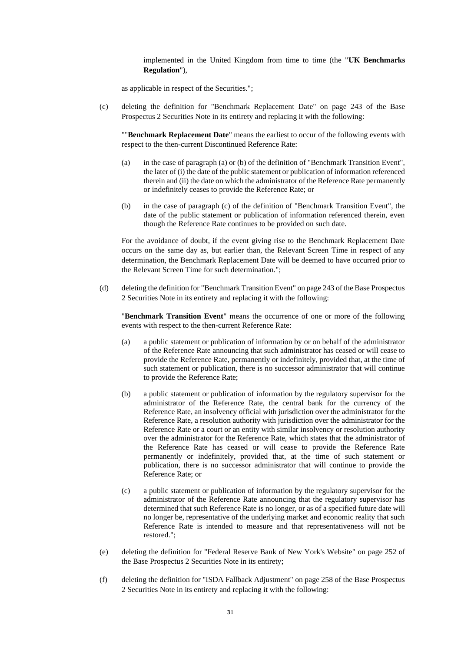implemented in the United Kingdom from time to time (the "**UK Benchmarks Regulation**"),

as applicable in respect of the Securities.";

(c) deleting the definition for "Benchmark Replacement Date" on page 243 of the Base Prospectus 2 Securities Note in its entirety and replacing it with the following:

""**Benchmark Replacement Date**" means the earliest to occur of the following events with respect to the then-current Discontinued Reference Rate:

- (a) in the case of paragraph (a) or (b) of the definition of "Benchmark Transition Event", the later of (i) the date of the public statement or publication of information referenced therein and (ii) the date on which the administrator of the Reference Rate permanently or indefinitely ceases to provide the Reference Rate; or
- (b) in the case of paragraph (c) of the definition of "Benchmark Transition Event", the date of the public statement or publication of information referenced therein, even though the Reference Rate continues to be provided on such date.

For the avoidance of doubt, if the event giving rise to the Benchmark Replacement Date occurs on the same day as, but earlier than, the Relevant Screen Time in respect of any determination, the Benchmark Replacement Date will be deemed to have occurred prior to the Relevant Screen Time for such determination.";

(d) deleting the definition for "Benchmark Transition Event" on page 243 of the Base Prospectus 2 Securities Note in its entirety and replacing it with the following:

"**Benchmark Transition Event**" means the occurrence of one or more of the following events with respect to the then-current Reference Rate:

- (a) a public statement or publication of information by or on behalf of the administrator of the Reference Rate announcing that such administrator has ceased or will cease to provide the Reference Rate, permanently or indefinitely, provided that, at the time of such statement or publication, there is no successor administrator that will continue to provide the Reference Rate;
- (b) a public statement or publication of information by the regulatory supervisor for the administrator of the Reference Rate, the central bank for the currency of the Reference Rate, an insolvency official with jurisdiction over the administrator for the Reference Rate, a resolution authority with jurisdiction over the administrator for the Reference Rate or a court or an entity with similar insolvency or resolution authority over the administrator for the Reference Rate, which states that the administrator of the Reference Rate has ceased or will cease to provide the Reference Rate permanently or indefinitely, provided that, at the time of such statement or publication, there is no successor administrator that will continue to provide the Reference Rate; or
- (c) a public statement or publication of information by the regulatory supervisor for the administrator of the Reference Rate announcing that the regulatory supervisor has determined that such Reference Rate is no longer, or as of a specified future date will no longer be, representative of the underlying market and economic reality that such Reference Rate is intended to measure and that representativeness will not be restored.";
- (e) deleting the definition for "Federal Reserve Bank of New York's Website" on page 252 of the Base Prospectus 2 Securities Note in its entirety;
- (f) deleting the definition for "ISDA Fallback Adjustment" on page 258 of the Base Prospectus 2 Securities Note in its entirety and replacing it with the following: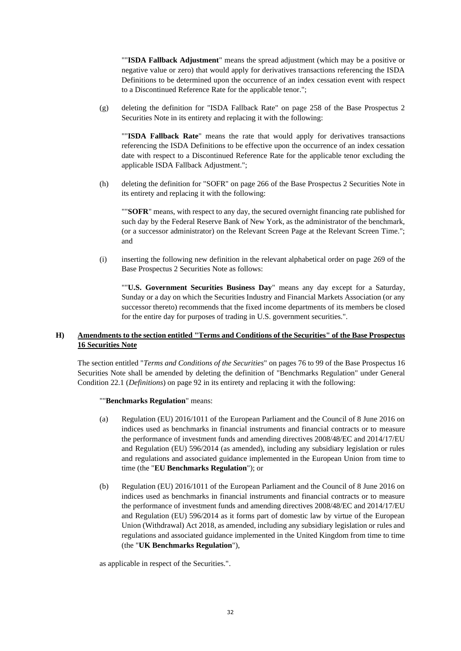""**ISDA Fallback Adjustment**" means the spread adjustment (which may be a positive or negative value or zero) that would apply for derivatives transactions referencing the ISDA Definitions to be determined upon the occurrence of an index cessation event with respect to a Discontinued Reference Rate for the applicable tenor.";

(g) deleting the definition for "ISDA Fallback Rate" on page 258 of the Base Prospectus 2 Securities Note in its entirety and replacing it with the following:

""**ISDA Fallback Rate**" means the rate that would apply for derivatives transactions referencing the ISDA Definitions to be effective upon the occurrence of an index cessation date with respect to a Discontinued Reference Rate for the applicable tenor excluding the applicable ISDA Fallback Adjustment.";

(h) deleting the definition for "SOFR" on page 266 of the Base Prospectus 2 Securities Note in its entirety and replacing it with the following:

""**SOFR**" means, with respect to any day, the secured overnight financing rate published for such day by the Federal Reserve Bank of New York, as the administrator of the benchmark, (or a successor administrator) on the Relevant Screen Page at the Relevant Screen Time."; and

(i) inserting the following new definition in the relevant alphabetical order on page 269 of the Base Prospectus 2 Securities Note as follows:

""**U.S. Government Securities Business Day**" means any day except for a Saturday, Sunday or a day on which the Securities Industry and Financial Markets Association (or any successor thereto) recommends that the fixed income departments of its members be closed for the entire day for purposes of trading in U.S. government securities.".

# **H) Amendments to the section entitled "Terms and Conditions of the Securities" of the Base Prospectus 16 Securities Note**

The section entitled "*Terms and Conditions of the Securities*" on pages 76 to 99 of the Base Prospectus 16 Securities Note shall be amended by deleting the definition of "Benchmarks Regulation" under General Condition 22.1 (*Definitions*) on page 92 in its entirety and replacing it with the following:

## ""**Benchmarks Regulation**" means:

- (a) Regulation (EU) 2016/1011 of the European Parliament and the Council of 8 June 2016 on indices used as benchmarks in financial instruments and financial contracts or to measure the performance of investment funds and amending directives 2008/48/EC and 2014/17/EU and Regulation (EU) 596/2014 (as amended), including any subsidiary legislation or rules and regulations and associated guidance implemented in the European Union from time to time (the "**EU Benchmarks Regulation**"); or
- (b) Regulation (EU) 2016/1011 of the European Parliament and the Council of 8 June 2016 on indices used as benchmarks in financial instruments and financial contracts or to measure the performance of investment funds and amending directives 2008/48/EC and 2014/17/EU and Regulation (EU) 596/2014 as it forms part of domestic law by virtue of the European Union (Withdrawal) Act 2018, as amended, including any subsidiary legislation or rules and regulations and associated guidance implemented in the United Kingdom from time to time (the "**UK Benchmarks Regulation**"),

as applicable in respect of the Securities.".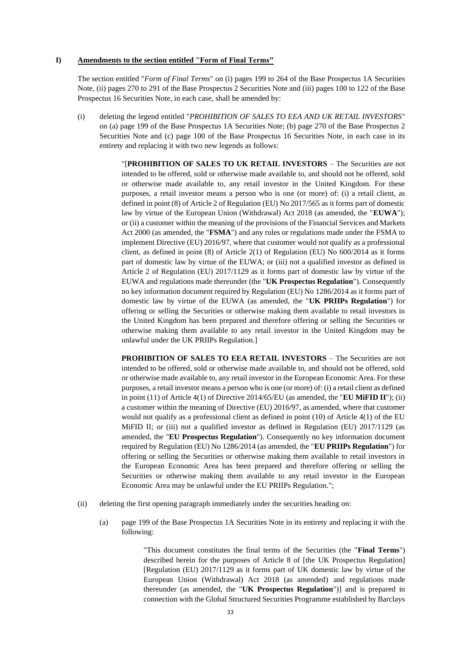## **I) Amendments to the section entitled "Form of Final Terms"**

The section entitled "*Form of Final Terms*" on (i) pages 199 to 264 of the Base Prospectus 1A Securities Note, (ii) pages 270 to 291 of the Base Prospectus 2 Securities Note and (iii) pages 100 to 122 of the Base Prospectus 16 Securities Note, in each case, shall be amended by:

(i) deleting the legend entitled "*PROHIBITION OF SALES TO EEA AND UK RETAIL INVESTORS*" on (a) page 199 of the Base Prospectus 1A Securities Note; (b) page 270 of the Base Prospectus 2 Securities Note and (c) page 100 of the Base Prospectus 16 Securities Note, in each case in its entirety and replacing it with two new legends as follows:

> "[**PROHIBITION OF SALES TO UK RETAIL INVESTORS** – The Securities are not intended to be offered, sold or otherwise made available to, and should not be offered, sold or otherwise made available to, any retail investor in the United Kingdom. For these purposes, a retail investor means a person who is one (or more) of: (i) a retail client, as defined in point (8) of Article 2 of Regulation (EU) No 2017/565 as it forms part of domestic law by virtue of the European Union (Withdrawal) Act 2018 (as amended, the "**EUWA**"); or (ii) a customer within the meaning of the provisions of the Financial Services and Markets Act 2000 (as amended, the "**FSMA**") and any rules or regulations made under the FSMA to implement Directive (EU) 2016/97, where that customer would not qualify as a professional client, as defined in point (8) of Article 2(1) of Regulation (EU) No 600/2014 as it forms part of domestic law by virtue of the EUWA; or (iii) not a qualified investor as defined in Article 2 of Regulation (EU) 2017/1129 as it forms part of domestic law by virtue of the EUWA and regulations made thereunder (the "**UK Prospectus Regulation**"). Consequently no key information document required by Regulation (EU) No 1286/2014 as it forms part of domestic law by virtue of the EUWA (as amended, the "**UK PRIIPs Regulation**") for offering or selling the Securities or otherwise making them available to retail investors in the United Kingdom has been prepared and therefore offering or selling the Securities or otherwise making them available to any retail investor in the United Kingdom may be unlawful under the UK PRIIPs Regulation.]

> **PROHIBITION OF SALES TO EEA RETAIL INVESTORS** – The Securities are not intended to be offered, sold or otherwise made available to, and should not be offered, sold or otherwise made available to, any retail investor in the European Economic Area. For these purposes, a retail investor means a person who is one (or more) of: (i) a retail client as defined in point (11) of Article 4(1) of Directive 2014/65/EU (as amended, the "**EU MiFID II**"); (ii) a customer within the meaning of Directive (EU) 2016/97, as amended, where that customer would not qualify as a professional client as defined in point (10) of Article 4(1) of the EU MiFID II; or (iii) not a qualified investor as defined in Regulation (EU) 2017/1129 (as amended, the "**EU Prospectus Regulation**"). Consequently no key information document required by Regulation (EU) No 1286/2014 (as amended, the "**EU PRIIPs Regulation**") for offering or selling the Securities or otherwise making them available to retail investors in the European Economic Area has been prepared and therefore offering or selling the Securities or otherwise making them available to any retail investor in the European Economic Area may be unlawful under the EU PRIIPs Regulation.";

- (ii) deleting the first opening paragraph immediately under the securities heading on:
	- (a) page 199 of the Base Prospectus 1A Securities Note in its entirety and replacing it with the following:

"This document constitutes the final terms of the Securities (the "**Final Terms**") described herein for the purposes of Article 8 of [the UK Prospectus Regulation] [Regulation (EU) 2017/1129 as it forms part of UK domestic law by virtue of the European Union (Withdrawal) Act 2018 (as amended) and regulations made thereunder (as amended, the "**UK Prospectus Regulation**")] and is prepared in connection with the Global Structured Securities Programme established by Barclays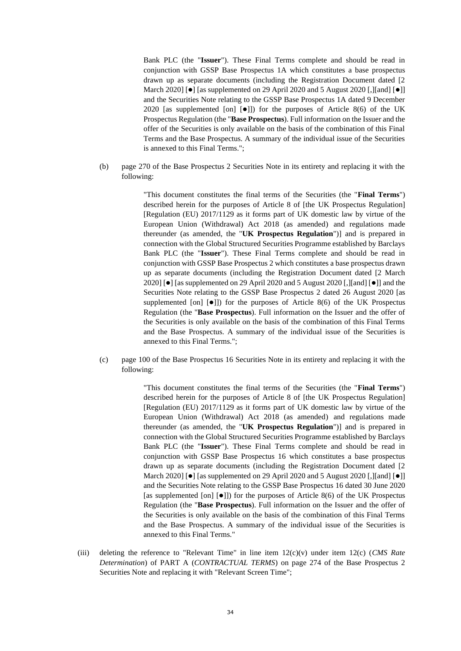Bank PLC (the "**Issuer**"). These Final Terms complete and should be read in conjunction with GSSP Base Prospectus 1A which constitutes a base prospectus drawn up as separate documents (including the Registration Document dated [2 March 2020] [ $\bullet$ ] [as supplemented on 29 April 2020 and 5 August 2020 [,][and]  $\bullet$ ]] and the Securities Note relating to the GSSP Base Prospectus 1A dated 9 December 2020 [as supplemented [on]  $[•]$ ]) for the purposes of Article 8(6) of the UK Prospectus Regulation (the "**Base Prospectus**). Full information on the Issuer and the offer of the Securities is only available on the basis of the combination of this Final Terms and the Base Prospectus. A summary of the individual issue of the Securities is annexed to this Final Terms.";

(b) page 270 of the Base Prospectus 2 Securities Note in its entirety and replacing it with the following:

> "This document constitutes the final terms of the Securities (the "**Final Terms**") described herein for the purposes of Article 8 of [the UK Prospectus Regulation] [Regulation (EU) 2017/1129 as it forms part of UK domestic law by virtue of the European Union (Withdrawal) Act 2018 (as amended) and regulations made thereunder (as amended, the "**UK Prospectus Regulation**")] and is prepared in connection with the Global Structured Securities Programme established by Barclays Bank PLC (the "**Issuer**"). These Final Terms complete and should be read in conjunction with GSSP Base Prospectus 2 which constitutes a base prospectus drawn up as separate documents (including the Registration Document dated [2 March 2020] [⚫] [as supplemented on 29 April 2020 and 5 August 2020 [,][and] [⚫]] and the Securities Note relating to the GSSP Base Prospectus 2 dated 26 August 2020 [as supplemented [on]  $[•]$ ]) for the purposes of Article 8(6) of the UK Prospectus Regulation (the "**Base Prospectus**). Full information on the Issuer and the offer of the Securities is only available on the basis of the combination of this Final Terms and the Base Prospectus. A summary of the individual issue of the Securities is annexed to this Final Terms.";

(c) page 100 of the Base Prospectus 16 Securities Note in its entirety and replacing it with the following:

> "This document constitutes the final terms of the Securities (the "**Final Terms**") described herein for the purposes of Article 8 of [the UK Prospectus Regulation] [Regulation (EU) 2017/1129 as it forms part of UK domestic law by virtue of the European Union (Withdrawal) Act 2018 (as amended) and regulations made thereunder (as amended, the "**UK Prospectus Regulation**")] and is prepared in connection with the Global Structured Securities Programme established by Barclays Bank PLC (the "**Issuer**"). These Final Terms complete and should be read in conjunction with GSSP Base Prospectus 16 which constitutes a base prospectus drawn up as separate documents (including the Registration Document dated [2 March 2020] [ $\bullet$ ] [as supplemented on 29 April 2020 and 5 August 2020 [, [[and]  $\bullet$ ]] and the Securities Note relating to the GSSP Base Prospectus 16 dated 30 June 2020 [as supplemented [on]  $[•]$ ]) for the purposes of Article 8(6) of the UK Prospectus Regulation (the "**Base Prospectus**). Full information on the Issuer and the offer of the Securities is only available on the basis of the combination of this Final Terms and the Base Prospectus. A summary of the individual issue of the Securities is annexed to this Final Terms."

(iii) deleting the reference to "Relevant Time" in line item 12(c)(v) under item 12(c) (*CMS Rate Determination*) of PART A (*CONTRACTUAL TERMS*) on page 274 of the Base Prospectus 2 Securities Note and replacing it with "Relevant Screen Time";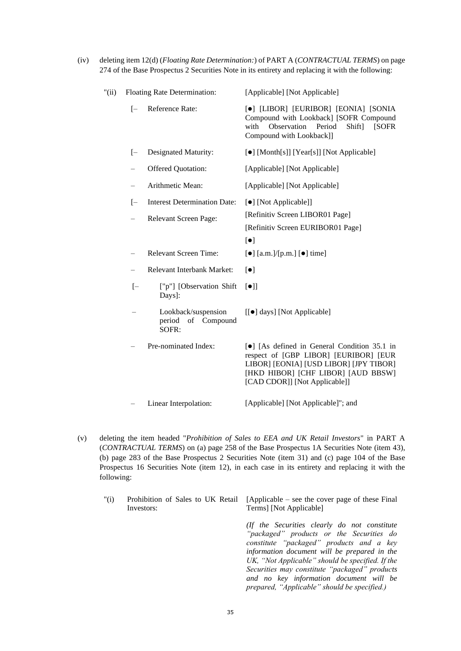(iv) deleting item 12(d) (*Floating Rate Determination:*) of PART A (*CONTRACTUAL TERMS*) on page 274 of the Base Prospectus 2 Securities Note in its entirety and replacing it with the following:

| "(ii) | Floating Rate Determination: |                                                              | [Applicable] [Not Applicable]                                                                                                                                                                                    |
|-------|------------------------------|--------------------------------------------------------------|------------------------------------------------------------------------------------------------------------------------------------------------------------------------------------------------------------------|
|       | $[-]$                        | Reference Rate:                                              | [ $\bullet$ ] [LIBOR] [EURIBOR] [EONIA] [SONIA<br>Compound with Lookback] [SOFR Compound<br>Observation<br>Period<br>Shift]<br>with<br>[SOFR]<br>Compound with Lookback]]                                        |
|       | $[-$                         | Designated Maturity:                                         | [•] [Month[s]] [Year[s]] [Not Applicable]                                                                                                                                                                        |
|       | $\overline{\phantom{0}}$     | Offered Quotation:                                           | [Applicable] [Not Applicable]                                                                                                                                                                                    |
|       | $\qquad \qquad -$            | Arithmetic Mean:                                             | [Applicable] [Not Applicable]                                                                                                                                                                                    |
|       | $[-$<br>$\qquad \qquad -$    | <b>Interest Determination Date:</b><br>Relevant Screen Page: | [•] [Not Applicable]]<br>[Refinitiv Screen LIBOR01 Page]<br>[Refinitiv Screen EURIBOR01 Page]<br>$\lbrack \bullet \rbrack$                                                                                       |
|       | $\overline{\phantom{0}}$     | <b>Relevant Screen Time:</b>                                 | $\left[\bullet\right]$ [a.m.]/[p.m.] $\left[\bullet\right]$ time]                                                                                                                                                |
|       | $\overline{\phantom{0}}$     | Relevant Interbank Market:                                   | $\lbrack \bullet \rbrack$                                                                                                                                                                                        |
|       | $[-]$                        | ["p"] [Observation Shift]<br>Days]:                          | $\lceil \bullet \rceil$                                                                                                                                                                                          |
|       |                              | Lookback/suspension<br>period of Compound<br>SOFR:           | [[ $\bullet$ ] days] [Not Applicable]                                                                                                                                                                            |
|       |                              | Pre-nominated Index:                                         | [ $\bullet$ ] [As defined in General Condition 35.1 in<br>respect of [GBP LIBOR] [EURIBOR] [EUR<br>LIBOR] [EONIA] [USD LIBOR] [JPY TIBOR]<br>[HKD HIBOR] [CHF LIBOR] [AUD BBSW]<br>[CAD CDOR]] [Not Applicable]] |
|       |                              |                                                              |                                                                                                                                                                                                                  |

- Linear Interpolation: [Applicable] [Not Applicable]"; and
- (v) deleting the item headed "*Prohibition of Sales to EEA and UK Retail Investors*" in PART A (*CONTRACTUAL TERMS*) on (a) page 258 of the Base Prospectus 1A Securities Note (item 43), (b) page 283 of the Base Prospectus 2 Securities Note (item 31) and (c) page 104 of the Base Prospectus 16 Securities Note (item 12), in each case in its entirety and replacing it with the following:
	- "(i) Prohibition of Sales to UK Retail Investors: [Applicable – see the cover page of these Final Terms] [Not Applicable]

*(If the Securities clearly do not constitute "packaged" products or the Securities do constitute "packaged" products and a key information document will be prepared in the UK, "Not Applicable" should be specified. If the Securities may constitute "packaged" products and no key information document will be prepared, "Applicable" should be specified.)*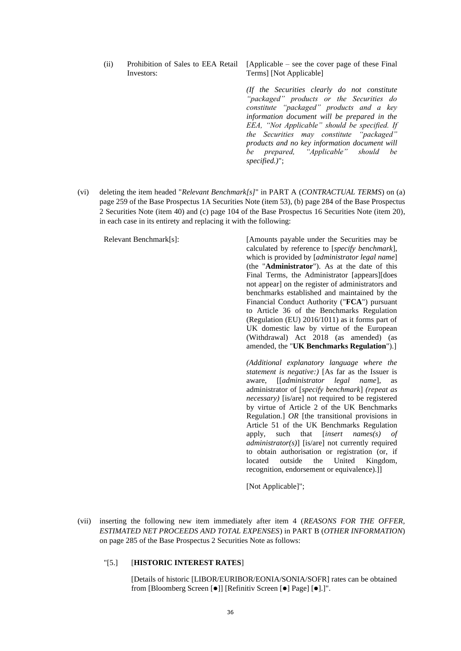(ii) Prohibition of Sales to EEA Retail Investors:

[Applicable – see the cover page of these Final Terms] [Not Applicable]

*(If the Securities clearly do not constitute "packaged" products or the Securities do constitute "packaged" products and a key information document will be prepared in the EEA, "Not Applicable" should be specified. If the Securities may constitute "packaged" products and no key information document will be prepared, "Applicable" should be specified.)*";

(vi) deleting the item headed "*Relevant Benchmark[s]*" in PART A (*CONTRACTUAL TERMS*) on (a) page 259 of the Base Prospectus 1A Securities Note (item 53), (b) page 284 of the Base Prospectus 2 Securities Note (item 40) and (c) page 104 of the Base Prospectus 16 Securities Note (item 20), in each case in its entirety and replacing it with the following:

Relevant Benchmark[s]: [Amounts payable under the Securities may be calculated by reference to [*specify benchmark*], which is provided by [*administrator legal name*] (the "**Administrator**"). As at the date of this Final Terms, the Administrator [appears][does not appear] on the register of administrators and benchmarks established and maintained by the Financial Conduct Authority ("**FCA**") pursuant to Article 36 of the Benchmarks Regulation (Regulation (EU) 2016/1011) as it forms part of UK domestic law by virtue of the European (Withdrawal) Act 2018 (as amended) (as amended, the "**UK Benchmarks Regulation**").]

> *(Additional explanatory language where the statement is negative:)* [As far as the Issuer is aware, [[*administrator legal name*], as administrator of [*specify benchmark*] *(repeat as necessary)* [is/are] not required to be registered by virtue of Article 2 of the UK Benchmarks Regulation.] *OR* [the transitional provisions in Article 51 of the UK Benchmarks Regulation apply, such that [*insert names(s) of administrator(s)*] [is/are] not currently required to obtain authorisation or registration (or, if located outside the United Kingdom, recognition, endorsement or equivalence).]]

[Not Applicable]";

(vii) inserting the following new item immediately after item 4 (*REASONS FOR THE OFFER, ESTIMATED NET PROCEEDS AND TOTAL EXPENSES*) in PART B (*OTHER INFORMATION*) on page 285 of the Base Prospectus 2 Securities Note as follows:

# "[5.] [**HISTORIC INTEREST RATES**]

[Details of historic [LIBOR/EURIBOR/EONIA/SONIA/SOFR] rates can be obtained from [Bloomberg Screen [ $\bullet$ ]] [Refinitiv Screen [ $\bullet$ ] Page] [ $\bullet$ ].]".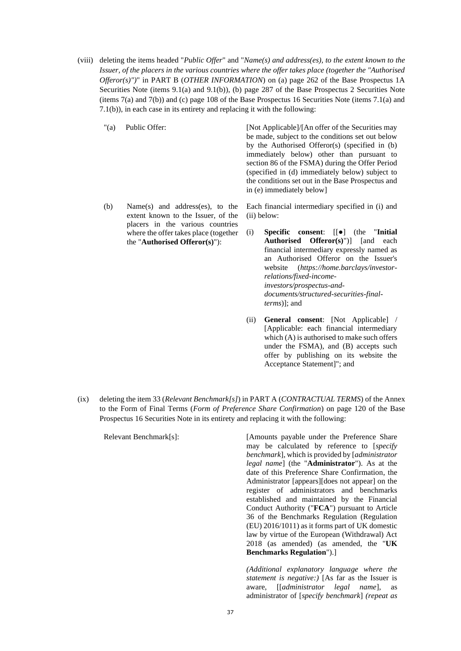- (viii) deleting the items headed "*Public Offer*" and "*Name(s) and address(es), to the extent known to the Issuer, of the placers in the various countries where the offer takes place (together the "Authorised Offeror(s)")*" in PART B (*OTHER INFORMATION*) on (a) page 262 of the Base Prospectus 1A Securities Note (items 9.1(a) and 9.1(b)), (b) page 287 of the Base Prospectus 2 Securities Note (items 7(a) and 7(b)) and (c) page 108 of the Base Prospectus 16 Securities Note (items 7.1(a) and 7.1(b)), in each case in its entirety and replacing it with the following:
	-

"(a) Public Offer: [Not Applicable]/[An offer of the Securities may be made, subject to the conditions set out below by the Authorised Offeror(s) (specified in (b) immediately below) other than pursuant to section 86 of the FSMA) during the Offer Period (specified in (d) immediately below) subject to the conditions set out in the Base Prospectus and in (e) immediately below]

(b) Name(s) and address(es), to the extent known to the Issuer, of the placers in the various countries where the offer takes place (together the "**Authorised Offeror(s)**"):

Each financial intermediary specified in (i) and (ii) below:

- (i) **Specific consent**: [[●] (the "**Initial Authorised Offeror(s)**")] [and each financial intermediary expressly named as an Authorised Offeror on the Issuer's website (*https://home.barclays/investorrelations/fixed-incomeinvestors/prospectus-anddocuments/structured-securities-finalterms*)]; and
- (ii) **General consent**: [Not Applicable] / [Applicable: each financial intermediary which (A) is authorised to make such offers under the FSMA), and (B) accepts such offer by publishing on its website the Acceptance Statement]"; and
- (ix) deleting the item 33 (*Relevant Benchmark[s]*) in PART A (*CONTRACTUAL TERMS*) of the Annex to the Form of Final Terms (*Form of Preference Share Confirmation*) on page 120 of the Base Prospectus 16 Securities Note in its entirety and replacing it with the following:

Relevant Benchmark[s]: [Amounts payable under the Preference Share may be calculated by reference to [*specify benchmark*], which is provided by [*administrator legal name*] (the "**Administrator**"). As at the date of this Preference Share Confirmation, the Administrator [appears][does not appear] on the register of administrators and benchmarks established and maintained by the Financial Conduct Authority ("**FCA**") pursuant to Article 36 of the Benchmarks Regulation (Regulation (EU) 2016/1011) as it forms part of UK domestic law by virtue of the European (Withdrawal) Act 2018 (as amended) (as amended, the "**UK Benchmarks Regulation**").] *(Additional explanatory language where the* 

*statement is negative:)* [As far as the Issuer is aware, [[*administrator legal name*], as administrator of [*specify benchmark*] *(repeat as*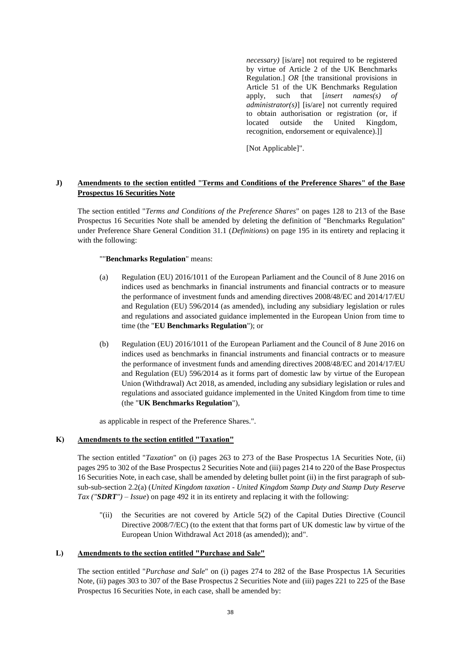*necessary)* [is/are] not required to be registered by virtue of Article 2 of the UK Benchmarks Regulation.] *OR* [the transitional provisions in Article 51 of the UK Benchmarks Regulation apply, such that [*insert names(s) of administrator(s)*] [is/are] not currently required to obtain authorisation or registration (or, if located outside the United Kingdom, recognition, endorsement or equivalence).]]

[Not Applicable]".

# **J) Amendments to the section entitled "Terms and Conditions of the Preference Shares" of the Base Prospectus 16 Securities Note**

The section entitled "*Terms and Conditions of the Preference Shares*" on pages 128 to 213 of the Base Prospectus 16 Securities Note shall be amended by deleting the definition of "Benchmarks Regulation" under Preference Share General Condition 31.1 (*Definitions*) on page 195 in its entirety and replacing it with the following:

""**Benchmarks Regulation**" means:

- (a) Regulation (EU) 2016/1011 of the European Parliament and the Council of 8 June 2016 on indices used as benchmarks in financial instruments and financial contracts or to measure the performance of investment funds and amending directives 2008/48/EC and 2014/17/EU and Regulation (EU) 596/2014 (as amended), including any subsidiary legislation or rules and regulations and associated guidance implemented in the European Union from time to time (the "**EU Benchmarks Regulation**"); or
- (b) Regulation (EU) 2016/1011 of the European Parliament and the Council of 8 June 2016 on indices used as benchmarks in financial instruments and financial contracts or to measure the performance of investment funds and amending directives 2008/48/EC and 2014/17/EU and Regulation (EU) 596/2014 as it forms part of domestic law by virtue of the European Union (Withdrawal) Act 2018, as amended, including any subsidiary legislation or rules and regulations and associated guidance implemented in the United Kingdom from time to time (the "**UK Benchmarks Regulation**"),

as applicable in respect of the Preference Shares.".

# **K) Amendments to the section entitled "Taxation"**

The section entitled "*Taxation*" on (i) pages 263 to 273 of the Base Prospectus 1A Securities Note, (ii) pages 295 to 302 of the Base Prospectus 2 Securities Note and (iii) pages 214 to 220 of the Base Prospectus 16 Securities Note, in each case, shall be amended by deleting bullet point (ii) in the first paragraph of subsub-sub-section 2.2(a) (*United Kingdom taxation - United Kingdom Stamp Duty and Stamp Duty Reserve Tax ("SDRT") – Issue*) on page 492 it in its entirety and replacing it with the following:

"(ii) the Securities are not covered by Article 5(2) of the Capital Duties Directive (Council Directive 2008/7/EC) (to the extent that that forms part of UK domestic law by virtue of the European Union Withdrawal Act 2018 (as amended)); and".

# **L) Amendments to the section entitled "Purchase and Sale"**

The section entitled "*Purchase and Sale*" on (i) pages 274 to 282 of the Base Prospectus 1A Securities Note, (ii) pages 303 to 307 of the Base Prospectus 2 Securities Note and (iii) pages 221 to 225 of the Base Prospectus 16 Securities Note, in each case, shall be amended by: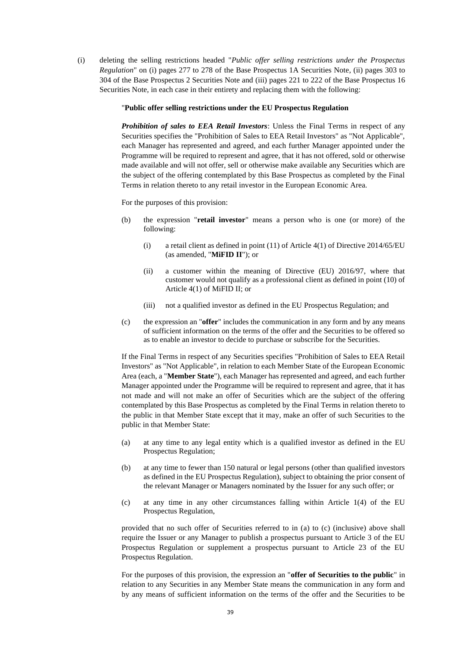(i) deleting the selling restrictions headed "*Public offer selling restrictions under the Prospectus Regulation*" on (i) pages 277 to 278 of the Base Prospectus 1A Securities Note, (ii) pages 303 to 304 of the Base Prospectus 2 Securities Note and (iii) pages 221 to 222 of the Base Prospectus 16 Securities Note, in each case in their entirety and replacing them with the following:

## "**Public offer selling restrictions under the EU Prospectus Regulation**

*Prohibition of sales to EEA Retail Investors*: Unless the Final Terms in respect of any Securities specifies the "Prohibition of Sales to EEA Retail Investors" as "Not Applicable", each Manager has represented and agreed, and each further Manager appointed under the Programme will be required to represent and agree, that it has not offered, sold or otherwise made available and will not offer, sell or otherwise make available any Securities which are the subject of the offering contemplated by this Base Prospectus as completed by the Final Terms in relation thereto to any retail investor in the European Economic Area.

For the purposes of this provision:

- (b) the expression "**retail investor**" means a person who is one (or more) of the following:
	- (i) a retail client as defined in point (11) of Article 4(1) of Directive 2014/65/EU (as amended, "**MiFID II**"); or
	- (ii) a customer within the meaning of Directive (EU) 2016/97, where that customer would not qualify as a professional client as defined in point (10) of Article 4(1) of MiFID II; or
	- (iii) not a qualified investor as defined in the EU Prospectus Regulation; and
- (c) the expression an "**offer**" includes the communication in any form and by any means of sufficient information on the terms of the offer and the Securities to be offered so as to enable an investor to decide to purchase or subscribe for the Securities.

If the Final Terms in respect of any Securities specifies "Prohibition of Sales to EEA Retail Investors" as "Not Applicable", in relation to each Member State of the European Economic Area (each, a "**Member State**"), each Manager has represented and agreed, and each further Manager appointed under the Programme will be required to represent and agree, that it has not made and will not make an offer of Securities which are the subject of the offering contemplated by this Base Prospectus as completed by the Final Terms in relation thereto to the public in that Member State except that it may, make an offer of such Securities to the public in that Member State:

- (a) at any time to any legal entity which is a qualified investor as defined in the EU Prospectus Regulation;
- (b) at any time to fewer than 150 natural or legal persons (other than qualified investors as defined in the EU Prospectus Regulation), subject to obtaining the prior consent of the relevant Manager or Managers nominated by the Issuer for any such offer; or
- (c) at any time in any other circumstances falling within Article 1(4) of the EU Prospectus Regulation,

provided that no such offer of Securities referred to in (a) to (c) (inclusive) above shall require the Issuer or any Manager to publish a prospectus pursuant to Article 3 of the EU Prospectus Regulation or supplement a prospectus pursuant to Article 23 of the EU Prospectus Regulation.

For the purposes of this provision, the expression an "**offer of Securities to the public**" in relation to any Securities in any Member State means the communication in any form and by any means of sufficient information on the terms of the offer and the Securities to be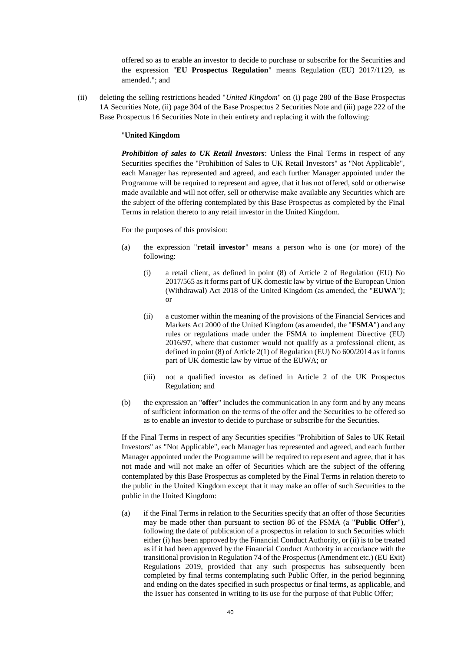offered so as to enable an investor to decide to purchase or subscribe for the Securities and the expression "**EU Prospectus Regulation**" means Regulation (EU) 2017/1129, as amended."; and

(ii) deleting the selling restrictions headed "*United Kingdom*" on (i) page 280 of the Base Prospectus 1A Securities Note, (ii) page 304 of the Base Prospectus 2 Securities Note and (iii) page 222 of the Base Prospectus 16 Securities Note in their entirety and replacing it with the following:

### "**United Kingdom**

*Prohibition of sales to UK Retail Investors*: Unless the Final Terms in respect of any Securities specifies the "Prohibition of Sales to UK Retail Investors" as "Not Applicable", each Manager has represented and agreed, and each further Manager appointed under the Programme will be required to represent and agree, that it has not offered, sold or otherwise made available and will not offer, sell or otherwise make available any Securities which are the subject of the offering contemplated by this Base Prospectus as completed by the Final Terms in relation thereto to any retail investor in the United Kingdom.

For the purposes of this provision:

- (a) the expression "**retail investor**" means a person who is one (or more) of the following:
	- (i) a retail client, as defined in point (8) of Article 2 of Regulation (EU) No 2017/565 as it forms part of UK domestic law by virtue of the European Union (Withdrawal) Act 2018 of the United Kingdom (as amended, the "**EUWA**"); or
	- (ii) a customer within the meaning of the provisions of the Financial Services and Markets Act 2000 of the United Kingdom (as amended, the "**FSMA**") and any rules or regulations made under the FSMA to implement Directive (EU) 2016/97, where that customer would not qualify as a professional client, as defined in point (8) of Article 2(1) of Regulation (EU) No 600/2014 as it forms part of UK domestic law by virtue of the EUWA; or
	- (iii) not a qualified investor as defined in Article 2 of the UK Prospectus Regulation; and
- (b) the expression an "**offer**" includes the communication in any form and by any means of sufficient information on the terms of the offer and the Securities to be offered so as to enable an investor to decide to purchase or subscribe for the Securities.

If the Final Terms in respect of any Securities specifies "Prohibition of Sales to UK Retail Investors" as "Not Applicable", each Manager has represented and agreed, and each further Manager appointed under the Programme will be required to represent and agree, that it has not made and will not make an offer of Securities which are the subject of the offering contemplated by this Base Prospectus as completed by the Final Terms in relation thereto to the public in the United Kingdom except that it may make an offer of such Securities to the public in the United Kingdom:

(a) if the Final Terms in relation to the Securities specify that an offer of those Securities may be made other than pursuant to section 86 of the FSMA (a "**Public Offer**"), following the date of publication of a prospectus in relation to such Securities which either (i) has been approved by the Financial Conduct Authority, or (ii) is to be treated as if it had been approved by the Financial Conduct Authority in accordance with the transitional provision in Regulation 74 of the Prospectus (Amendment etc.) (EU Exit) Regulations 2019, provided that any such prospectus has subsequently been completed by final terms contemplating such Public Offer, in the period beginning and ending on the dates specified in such prospectus or final terms, as applicable, and the Issuer has consented in writing to its use for the purpose of that Public Offer;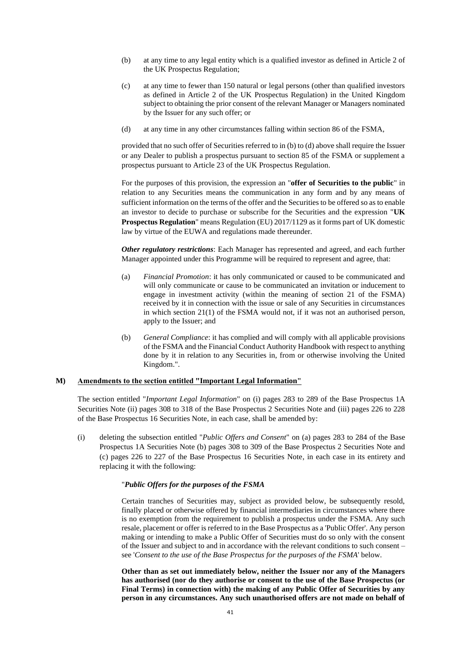- (b) at any time to any legal entity which is a qualified investor as defined in Article 2 of the UK Prospectus Regulation;
- (c) at any time to fewer than 150 natural or legal persons (other than qualified investors as defined in Article 2 of the UK Prospectus Regulation) in the United Kingdom subject to obtaining the prior consent of the relevant Manager or Managers nominated by the Issuer for any such offer; or
- (d) at any time in any other circumstances falling within section 86 of the FSMA,

provided that no such offer of Securities referred to in (b) to (d) above shall require the Issuer or any Dealer to publish a prospectus pursuant to section 85 of the FSMA or supplement a prospectus pursuant to Article 23 of the UK Prospectus Regulation.

For the purposes of this provision, the expression an "**offer of Securities to the public**" in relation to any Securities means the communication in any form and by any means of sufficient information on the terms of the offer and the Securities to be offered so as to enable an investor to decide to purchase or subscribe for the Securities and the expression "**UK Prospectus Regulation**" means Regulation (EU) 2017/1129 as it forms part of UK domestic law by virtue of the EUWA and regulations made thereunder.

*Other regulatory restrictions*: Each Manager has represented and agreed, and each further Manager appointed under this Programme will be required to represent and agree, that:

- (a) *Financial Promotion*: it has only communicated or caused to be communicated and will only communicate or cause to be communicated an invitation or inducement to engage in investment activity (within the meaning of section 21 of the FSMA) received by it in connection with the issue or sale of any Securities in circumstances in which section 21(1) of the FSMA would not, if it was not an authorised person, apply to the Issuer; and
- (b) *General Compliance*: it has complied and will comply with all applicable provisions of the FSMA and the Financial Conduct Authority Handbook with respect to anything done by it in relation to any Securities in, from or otherwise involving the United Kingdom.".

## **M) Amendments to the section entitled "Important Legal Information"**

The section entitled "*Important Legal Information*" on (i) pages 283 to 289 of the Base Prospectus 1A Securities Note (ii) pages 308 to 318 of the Base Prospectus 2 Securities Note and (iii) pages 226 to 228 of the Base Prospectus 16 Securities Note, in each case, shall be amended by:

(i) deleting the subsection entitled "*Public Offers and Consent*" on (a) pages 283 to 284 of the Base Prospectus 1A Securities Note (b) pages 308 to 309 of the Base Prospectus 2 Securities Note and (c) pages 226 to 227 of the Base Prospectus 16 Securities Note, in each case in its entirety and replacing it with the following:

#### "*Public Offers for the purposes of the FSMA*

Certain tranches of Securities may, subject as provided below, be subsequently resold, finally placed or otherwise offered by financial intermediaries in circumstances where there is no exemption from the requirement to publish a prospectus under the FSMA. Any such resale, placement or offer is referred to in the Base Prospectus as a 'Public Offer'. Any person making or intending to make a Public Offer of Securities must do so only with the consent of the Issuer and subject to and in accordance with the relevant conditions to such consent – see '*Consent to the use of the Base Prospectus for the purposes of the FSMA*' below.

**Other than as set out immediately below, neither the Issuer nor any of the Managers has authorised (nor do they authorise or consent to the use of the Base Prospectus (or Final Terms) in connection with) the making of any Public Offer of Securities by any person in any circumstances. Any such unauthorised offers are not made on behalf of**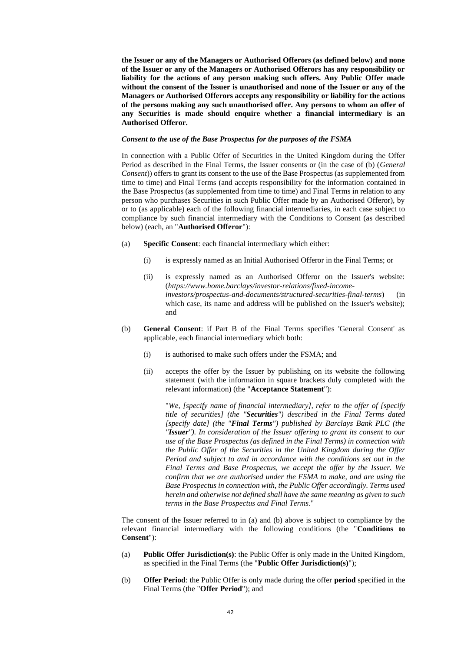**the Issuer or any of the Managers or Authorised Offerors (as defined below) and none of the Issuer or any of the Managers or Authorised Offerors has any responsibility or liability for the actions of any person making such offers. Any Public Offer made without the consent of the Issuer is unauthorised and none of the Issuer or any of the Managers or Authorised Offerors accepts any responsibility or liability for the actions of the persons making any such unauthorised offer. Any persons to whom an offer of any Securities is made should enquire whether a financial intermediary is an Authorised Offeror.**

# *Consent to the use of the Base Prospectus for the purposes of the FSMA*

In connection with a Public Offer of Securities in the United Kingdom during the Offer Period as described in the Final Terms, the Issuer consents or (in the case of (b) (*General Consent*)) offers to grant its consent to the use of the Base Prospectus (as supplemented from time to time) and Final Terms (and accepts responsibility for the information contained in the Base Prospectus (as supplemented from time to time) and Final Terms in relation to any person who purchases Securities in such Public Offer made by an Authorised Offeror), by or to (as applicable) each of the following financial intermediaries, in each case subject to compliance by such financial intermediary with the Conditions to Consent (as described below) (each, an "**Authorised Offeror**"):

- (a) **Specific Consent**: each financial intermediary which either:
	- (i) is expressly named as an Initial Authorised Offeror in the Final Terms; or
	- (ii) is expressly named as an Authorised Offeror on the Issuer's website: (*https://www.home.barclays/investor-relations/fixed-incomeinvestors/prospectus-and-documents/structured-securities-final-terms*) (in which case, its name and address will be published on the Issuer's website); and
- (b) **General Consent**: if Part B of the Final Terms specifies 'General Consent' as applicable, each financial intermediary which both:
	- (i) is authorised to make such offers under the FSMA; and
	- (ii) accepts the offer by the Issuer by publishing on its website the following statement (with the information in square brackets duly completed with the relevant information) (the "**Acceptance Statement**"):

"*We, [specify name of financial intermediary], refer to the offer of [specify title of securities] (the "Securities") described in the Final Terms dated [specify date] (the "Final Terms") published by Barclays Bank PLC (the "Issuer"). In consideration of the Issuer offering to grant its consent to our use of the Base Prospectus (as defined in the Final Terms) in connection with the Public Offer of the Securities in the United Kingdom during the Offer Period and subject to and in accordance with the conditions set out in the Final Terms and Base Prospectus, we accept the offer by the Issuer. We confirm that we are authorised under the FSMA to make, and are using the Base Prospectus in connection with, the Public Offer accordingly. Terms used herein and otherwise not defined shall have the same meaning as given to such terms in the Base Prospectus and Final Terms*."

The consent of the Issuer referred to in (a) and (b) above is subject to compliance by the relevant financial intermediary with the following conditions (the "**Conditions to Consent**"):

- (a) **Public Offer Jurisdiction(s)**: the Public Offer is only made in the United Kingdom, as specified in the Final Terms (the "**Public Offer Jurisdiction(s)**");
- (b) **Offer Period**: the Public Offer is only made during the offer **period** specified in the Final Terms (the "**Offer Period**"); and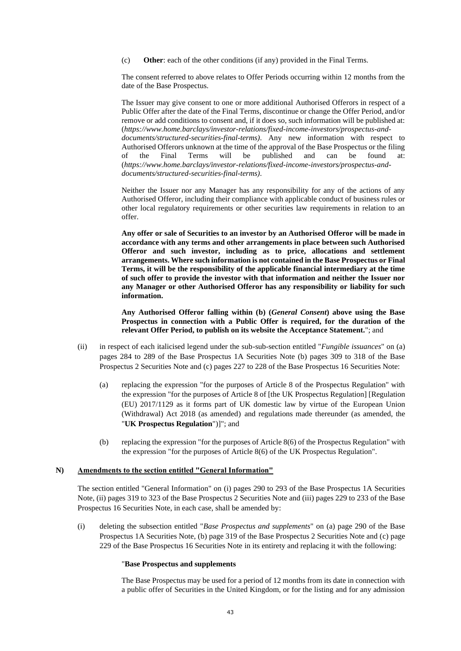(c) **Other**: each of the other conditions (if any) provided in the Final Terms.

The consent referred to above relates to Offer Periods occurring within 12 months from the date of the Base Prospectus.

The Issuer may give consent to one or more additional Authorised Offerors in respect of a Public Offer after the date of the Final Terms, discontinue or change the Offer Period, and/or remove or add conditions to consent and, if it does so, such information will be published at: (*https://www.home.barclays/investor-relations/fixed-income-investors/prospectus-anddocuments/structured-securities-final-terms)*. Any new information with respect to Authorised Offerors unknown at the time of the approval of the Base Prospectus or the filing of the Final Terms will be published and can be found at: (*https://www.home.barclays/investor-relations/fixed-income-investors/prospectus-anddocuments/structured-securities-final-terms)*.

Neither the Issuer nor any Manager has any responsibility for any of the actions of any Authorised Offeror, including their compliance with applicable conduct of business rules or other local regulatory requirements or other securities law requirements in relation to an offer.

**Any offer or sale of Securities to an investor by an Authorised Offeror will be made in accordance with any terms and other arrangements in place between such Authorised Offeror and such investor, including as to price, allocations and settlement arrangements. Where such information is not contained in the Base Prospectus or Final Terms, it will be the responsibility of the applicable financial intermediary at the time of such offer to provide the investor with that information and neither the Issuer nor any Manager or other Authorised Offeror has any responsibility or liability for such information.**

**Any Authorised Offeror falling within (b) (***General Consent***) above using the Base Prospectus in connection with a Public Offer is required, for the duration of the relevant Offer Period, to publish on its website the Acceptance Statement.**"; and

- (ii) in respect of each italicised legend under the sub-sub-section entitled "*Fungible issuances*" on (a) pages 284 to 289 of the Base Prospectus 1A Securities Note (b) pages 309 to 318 of the Base Prospectus 2 Securities Note and (c) pages 227 to 228 of the Base Prospectus 16 Securities Note:
	- (a) replacing the expression "for the purposes of Article 8 of the Prospectus Regulation" with the expression "for the purposes of Article 8 of [the UK Prospectus Regulation] [Regulation (EU) 2017/1129 as it forms part of UK domestic law by virtue of the European Union (Withdrawal) Act 2018 (as amended) and regulations made thereunder (as amended, the "**UK Prospectus Regulation**")]"; and
	- (b) replacing the expression "for the purposes of Article 8(6) of the Prospectus Regulation" with the expression "for the purposes of Article 8(6) of the UK Prospectus Regulation".

## **N) Amendments to the section entitled "General Information"**

The section entitled "General Information" on (i) pages 290 to 293 of the Base Prospectus 1A Securities Note, (ii) pages 319 to 323 of the Base Prospectus 2 Securities Note and (iii) pages 229 to 233 of the Base Prospectus 16 Securities Note, in each case, shall be amended by:

(i) deleting the subsection entitled "*Base Prospectus and supplements*" on (a) page 290 of the Base Prospectus 1A Securities Note, (b) page 319 of the Base Prospectus 2 Securities Note and (c) page 229 of the Base Prospectus 16 Securities Note in its entirety and replacing it with the following:

## "**Base Prospectus and supplements**

The Base Prospectus may be used for a period of 12 months from its date in connection with a public offer of Securities in the United Kingdom, or for the listing and for any admission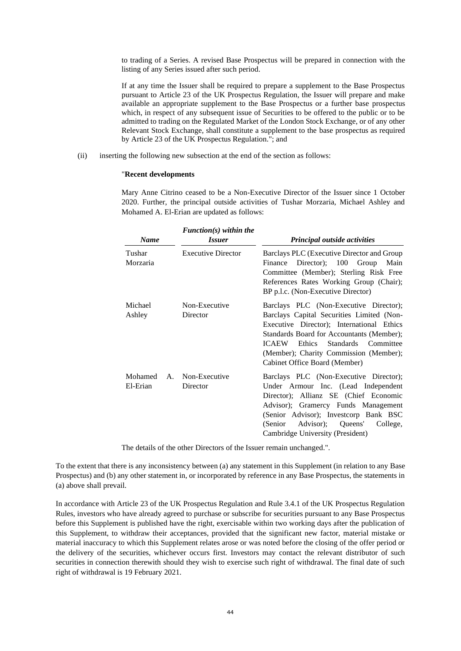to trading of a Series. A revised Base Prospectus will be prepared in connection with the listing of any Series issued after such period.

If at any time the Issuer shall be required to prepare a supplement to the Base Prospectus pursuant to Article 23 of the UK Prospectus Regulation, the Issuer will prepare and make available an appropriate supplement to the Base Prospectus or a further base prospectus which, in respect of any subsequent issue of Securities to be offered to the public or to be admitted to trading on the Regulated Market of the London Stock Exchange, or of any other Relevant Stock Exchange, shall constitute a supplement to the base prospectus as required by Article 23 of the UK Prospectus Regulation."; and

(ii) inserting the following new subsection at the end of the section as follows:

# "**Recent developments**

Mary Anne Citrino ceased to be a Non-Executive Director of the Issuer since 1 October 2020. Further, the principal outside activities of Tushar Morzaria, Michael Ashley and Mohamed A. El-Erian are updated as follows:

| <b>Name</b>         | $Function(s)$ within the<br><i><b>Issuer</b></i><br><b>Executive Director</b> | Principal outside activities<br>Barclays PLC (Executive Director and Group<br>Director); 100 Group<br>Main<br>Finance<br>Committee (Member); Sterling Risk Free<br>References Rates Working Group (Chair);<br>BP p.l.c. (Non-Executive Director)                                                          |
|---------------------|-------------------------------------------------------------------------------|-----------------------------------------------------------------------------------------------------------------------------------------------------------------------------------------------------------------------------------------------------------------------------------------------------------|
| Tushar<br>Morzaria  |                                                                               |                                                                                                                                                                                                                                                                                                           |
| Michael<br>Ashley   | Non-Executive<br>Director                                                     | Barclays PLC (Non-Executive Director);<br>Barclays Capital Securities Limited (Non-<br>Executive Director); International Ethics<br>Standards Board for Accountants (Member);<br><b>ICAEW</b><br>Ethics<br>Standards Committee<br>(Member); Charity Commission (Member);<br>Cabinet Office Board (Member) |
| Mohamed<br>El-Erian | A. Non-Executive<br>Director                                                  | Barclays PLC (Non-Executive Director);<br>Under Armour Inc. (Lead Independent<br>Director); Allianz SE (Chief Economic<br>Advisor); Gramercy Funds Management<br>(Senior Advisor); Investcorp Bank BSC<br>Advisor);<br>Queens'<br>(Senior)<br>College,<br>Cambridge University (President)                |

The details of the other Directors of the Issuer remain unchanged.".

To the extent that there is any inconsistency between (a) any statement in this Supplement (in relation to any Base Prospectus) and (b) any other statement in, or incorporated by reference in any Base Prospectus, the statements in (a) above shall prevail.

In accordance with Article 23 of the UK Prospectus Regulation and Rule 3.4.1 of the UK Prospectus Regulation Rules, investors who have already agreed to purchase or subscribe for securities pursuant to any Base Prospectus before this Supplement is published have the right, exercisable within two working days after the publication of this Supplement, to withdraw their acceptances, provided that the significant new factor, material mistake or material inaccuracy to which this Supplement relates arose or was noted before the closing of the offer period or the delivery of the securities, whichever occurs first. Investors may contact the relevant distributor of such securities in connection therewith should they wish to exercise such right of withdrawal. The final date of such right of withdrawal is 19 February 2021.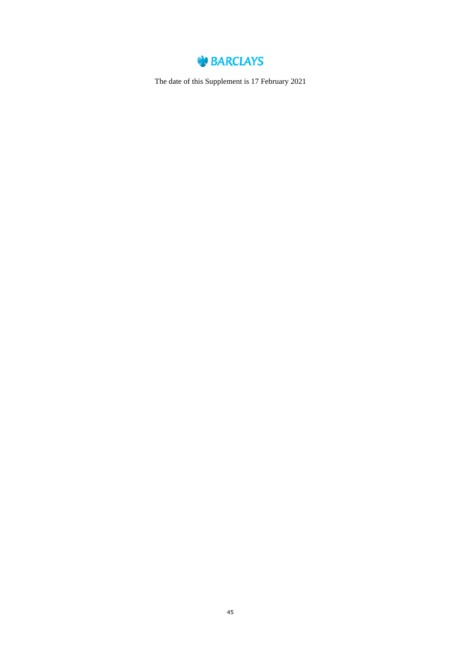

The date of this Supplement is 17 February 2021